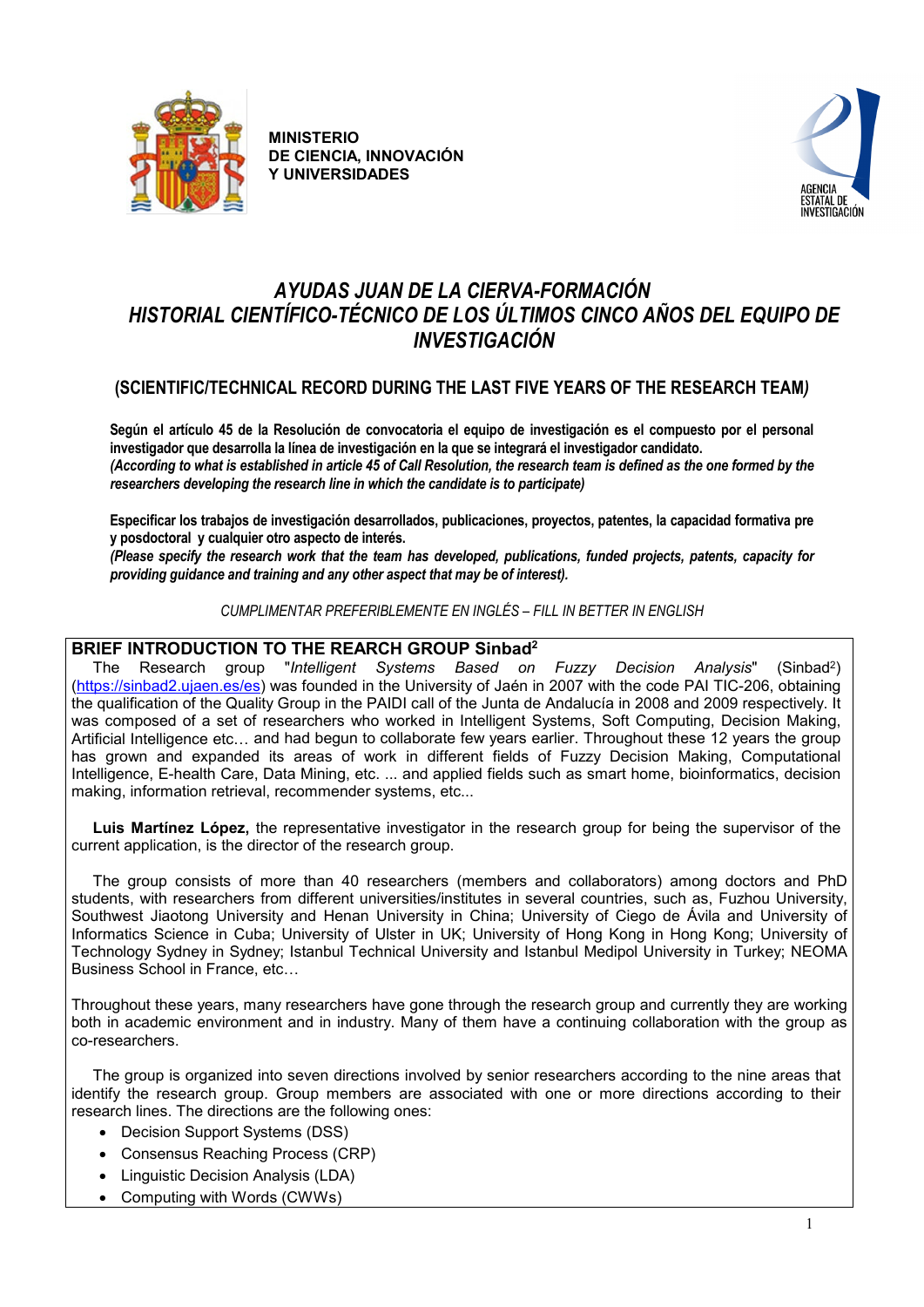



# *AYUDAS JUAN DE LA CIERVA-FORMACIÓN HISTORIAL CIENTÍFICO-TÉCNICO DE LOS ÚLTIMOS CINCO AÑOS DEL EQUIPO DE INVESTIGACIÓN*

# **(SCIENTIFIC/TECHNICAL RECORD DURING THE LAST FIVE YEARS OF THE RESEARCH TEAM***)*

**Según el artículo 45 de la Resolución de convocatoria el equipo de investigación es el compuesto por el personal investigador que desarrolla la línea de investigación en la que se integrará el investigador candidato.**  *(According to what is established in article 45 of Call Resolution, the research team is defined as the one formed by the researchers developing the research line in which the candidate is to participate)*

**Especificar los trabajos de investigación desarrollados, publicaciones, proyectos, patentes, la capacidad formativa pre y posdoctoral y cualquier otro aspecto de interés.** 

*(Please specify the research work that the team has developed, publications, funded projects, patents, capacity for providing guidance and training and any other aspect that may be of interest).*

*CUMPLIMENTAR PREFERIBLEMENTE EN INGLÉS – FILL IN BETTER IN ENGLISH*

# **BRIEF INTRODUCTION TO THE REARCH GROUP Sinbad<sup>2</sup>**<br>The Research group "Intelligent Systems Based on

"*Intelligent Systems Based on Fuzzy Decision Analysis*" (Sinbad<sup>2</sup>) [\(https://sinbad2.ujaen.es/es\)](https://sinbad2.ujaen.es/es) was founded in the University of J[aén](http://www.ujaen.es/) in 2007 with the code PAI TIC-206, obtaining the qualification of the Quality Group in the PAIDI call of the Junta de Andalucía in 2008 and 2009 respectively. It was composed of a set of researchers who worked in Intelligent Systems, Soft Computing, Decision Making, Artificial Intelligence etc… and had begun to collaborate few years earlier. Throughout these 12 years the group has grown and expanded its areas of work in different fields of Fuzzy Decision Making, Computational Intelligence, E-health Care, Data Mining, etc. ... and applied fields such as smart home, bioinformatics, decision making, information retrieval, recommender systems, etc...

 **Luis Martínez López,** the representative investigator in the research group for being the supervisor of the current application, is the director of the research group.

 The group consists of more than 40 researchers (members and collaborators) among doctors and PhD students, with researchers from different universities/institutes in several countries, such as, Fuzhou University, Southwest Jiaotong University and Henan University in China; [University of Ciego de Ávila](https://www.researchgate.net/institution/University_of_Ciego_de_Avila) and University of Informatics Science in Cuba; University of Ulster in UK; University of Hong Kong in Hong Kong; University of Technology Sydney in Sydney; Istanbul Technical University and Istanbul Medipol University in Turkey; NEOMA Business School in France, etc…

Throughout these years, many researchers have gone through the research group and currently they are working both in academic environment and in industry. Many of them have a continuing collaboration with the group as co-researchers.

 The group is organized into seven directions involved by senior researchers according to the nine areas that identify the research group. Group members are associated with one or more directions according to their research lines. The directions are the following ones:

- Decision Support Systems (DSS)
- Consensus Reaching Process (CRP)
- Linguistic Decision Analysis (LDA)
- Computing with Words (CWWs)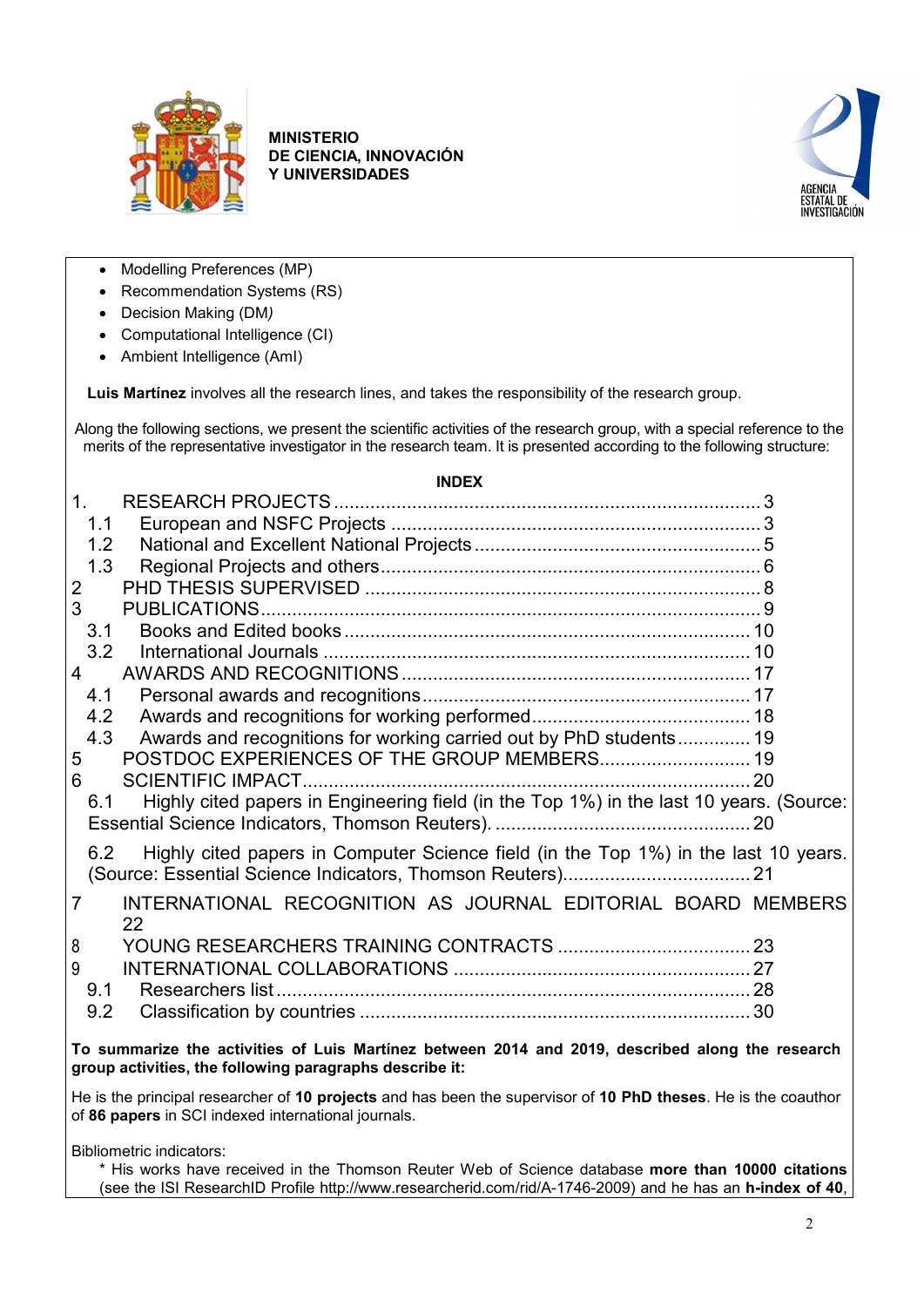



- Modelling Preferences (MP)
- Recommendation Systems (RS)
- Decision Making (DM*)*
- Computational Intelligence (CI)
- Ambient Intelligence (AmI)

**Luis Martínez** involves all the research lines, and takes the responsibility of the research group.

Along the following sections, we present the scientific activities of the research group, with a special reference to the merits of the representative investigator in the research team. It is presented according to the following structure:

## **INDEX** 1. [RESEARCH PROJECTS..................................................................................](#page-2-0) 3 1.1 European and NSFC Projects [.......................................................................](#page-2-1) 3 1.2 [National and Excellent National Projects](#page-4-0) ....................................................... 5 1.3 [Regional Projects and others.........................................................................](#page-5-0) 6 2 PHD THESIS SUPERVISED [............................................................................](#page-7-0) 8 3 [PUBLICATIONS................................................................................................](#page-8-0) 9 3.1 Books and Edited books [..............................................................................](#page-9-0) 10 3.2 International Journals [..................................................................................](#page-9-1) 10 4 [AWARDS AND RECOGNITIONS...................................................................](#page-16-0) 17 4.1 Personal awards [and recognitions...............................................................](#page-16-1) 17 4.2 [Awards and recognitions for working performed..........................................](#page-17-0) 18 4.3 [Awards and recognitions for working carried out by PhD](#page-18-0) students.............. 19 5 [POSTDOC EXPERIENCES OF THE GROUP MEMBERS.............................](#page-18-1) 19 6 [SCIENTIFIC IMPACT......................................................................................](#page-19-0) 20 6.1 [Highly cited papers in Engineering field \(in the Top 1%\) in the last 10 years. \(Source:](#page-19-1)  [Essential Science Indicators, Thomson Reuters\).](#page-19-1) ................................................. 20 6.2 [Highly cited papers in Computer Science field \(in the Top 1%\) in the last 10 years.](#page-20-0)  [\(Source: Essential Science Indicators, Thomson Reuters\)....................................](#page-20-0) 21 7 [INTERNATIONAL RECOGNITION AS JOURNAL EDITORIAL BOARD MEMBERS](#page-21-0) [22](#page-21-0) 8 [YOUNG RESEARCHERS TRAINING CONTRACTS](#page-22-0) ..................................... 23 9 [INTERNATIONAL COLLABORATIONS](#page-26-0) ......................................................... 27 9.1 Researchers list [...........................................................................................](#page-27-0) 28 9.2 Classification by countries [...........................................................................](#page-29-0) 30 **To summarize the activities of Luis Martínez between 2014 and 2019, described along the research group activities, the following paragraphs describe it:**

He is the principal researcher of **10 projects** and has been the supervisor of **10 PhD theses**. He is the coauthor of **86 papers** in SCI indexed international journals.

Bibliometric indicators:

\* His works have received in the Thomson Reuter Web of Science database **more than 10000 citations** (see the ISI ResearchID Profile http://www.researcherid.com/rid/A-1746-2009) and he has an **h-index of 40**,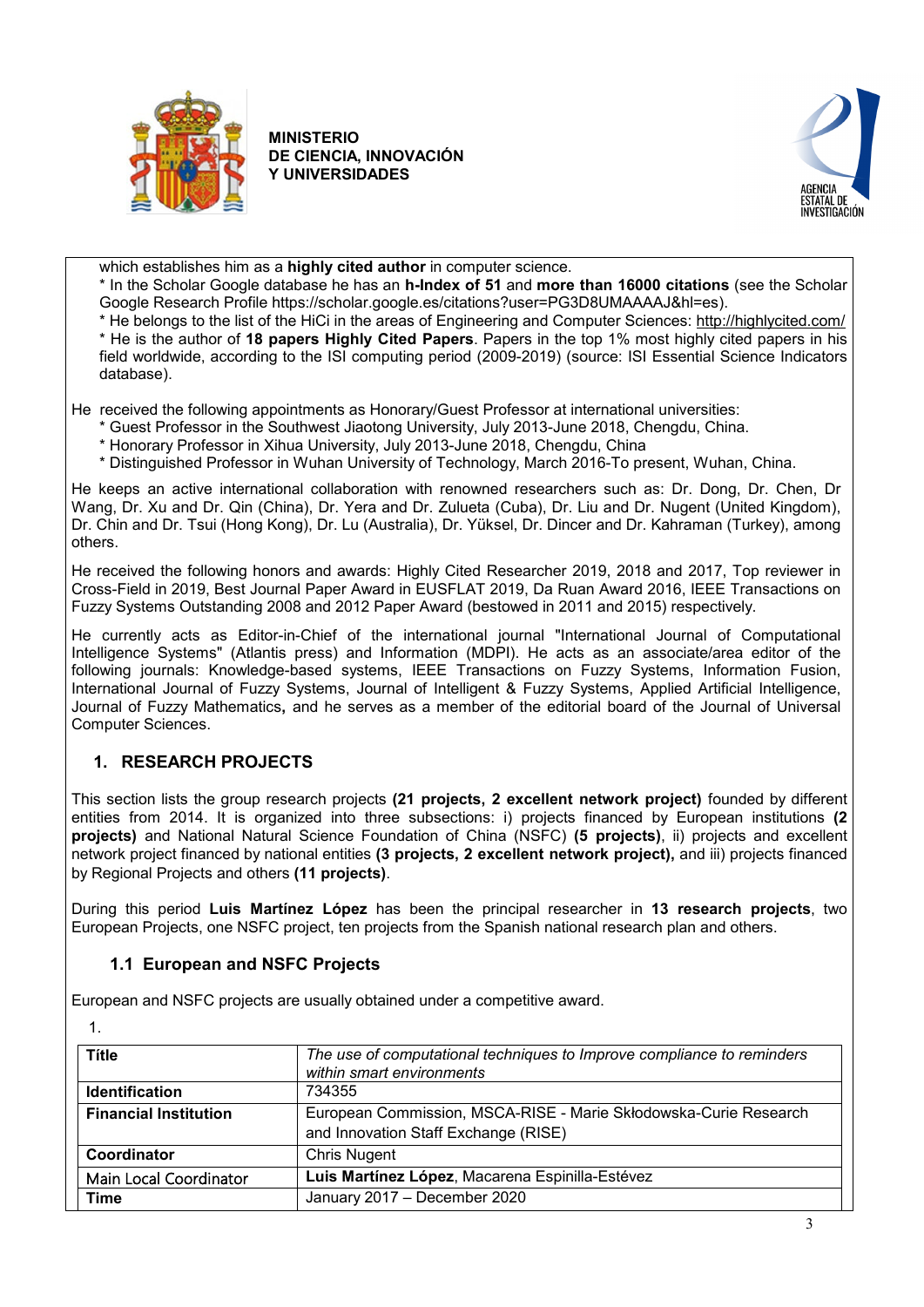



which establishes him as a **highly cited author** in computer science.

\* In the Scholar Google database he has an **h-Index of 51** and **more than 16000 citations** (see the Scholar Google Research Profile https://scholar.google.es/citations?user=PG3D8UMAAAAJ&hl=es).

\* He belongs to the list of the HiCi in the areas of Engineering and Computer Sciences:<http://highlycited.com/>

\* He is the author of **18 papers Highly Cited Papers**. Papers in the top 1% most highly cited papers in his field worldwide, according to the ISI computing period (2009-2019) (source: ISI Essential Science Indicators database).

He received the following appointments as Honorary/Guest Professor at international universities:

- \* Guest Professor in the Southwest Jiaotong University, July 2013-June 2018, Chengdu, China.
- \* Honorary Professor in Xihua University, July 2013-June 2018, Chengdu, China

\* Distinguished Professor in Wuhan University of Technology, March 2016-To present, Wuhan, China.

He keeps an active international collaboration with renowned researchers such as: Dr. Dong, Dr. Chen, Dr Wang, Dr. Xu and Dr. Qin (China), Dr. Yera and Dr. Zulueta (Cuba), Dr. Liu and Dr. Nugent (United Kingdom), Dr. Chin and Dr. Tsui (Hong Kong), Dr. Lu (Australia), Dr. Yüksel, Dr. Dincer and Dr. Kahraman (Turkey), among others.

He received the following honors and awards: Highly Cited Researcher 2019, 2018 and 2017, Top reviewer in Cross-Field in 2019, Best Journal Paper Award in EUSFLAT 2019, Da Ruan Award 2016, IEEE Transactions on Fuzzy Systems Outstanding 2008 and 2012 Paper Award (bestowed in 2011 and 2015) respectively.

He currently acts as Editor-in-Chief of the international journal "International Journal of Computational Intelligence Systems" (Atlantis press) and Information (MDPI). He acts as an associate/area editor of the following journals: Knowledge-based systems, IEEE Transactions on Fuzzy Systems, Information Fusion, International Journal of Fuzzy Systems, Journal of Intelligent & Fuzzy Systems, Applied Artificial Intelligence, Journal of Fuzzy Mathematics**,** and he serves as a member of the editorial board of the Journal of Universal Computer Sciences.

## <span id="page-2-0"></span>**1. RESEARCH PROJECTS**

This section lists the group research projects **(21 projects, 2 excellent network project)** founded by different entities from 2014. It is organized into three subsections: i) projects financed by European institutions **(2 projects)** and National Natural Science Foundation of China (NSFC) **(5 projects)**, ii) projects and excellent network project financed by national entities **(3 projects, 2 excellent network project),** and iii) projects financed by Regional Projects and others **(11 projects)**.

During this period **Luis Martínez López** has been the principal researcher in **13 research projects**, two European Projects, one NSFC project, ten projects from the Spanish national research plan and others.

## **1.1 European and NSFC Projects**

<span id="page-2-1"></span>European and NSFC projects are usually obtained under a competitive award.

|--|

| Títle                        | The use of computational techniques to Improve compliance to reminders<br>within smart environments      |
|------------------------------|----------------------------------------------------------------------------------------------------------|
| <b>Identification</b>        | 734355                                                                                                   |
| <b>Financial Institution</b> | European Commission, MSCA-RISE - Marie Skłodowska-Curie Research<br>and Innovation Staff Exchange (RISE) |
| Coordinator                  | <b>Chris Nugent</b>                                                                                      |
| Main Local Coordinator       | Luis Martínez López, Macarena Espinilla-Estévez                                                          |
| Time                         | January 2017 - December 2020                                                                             |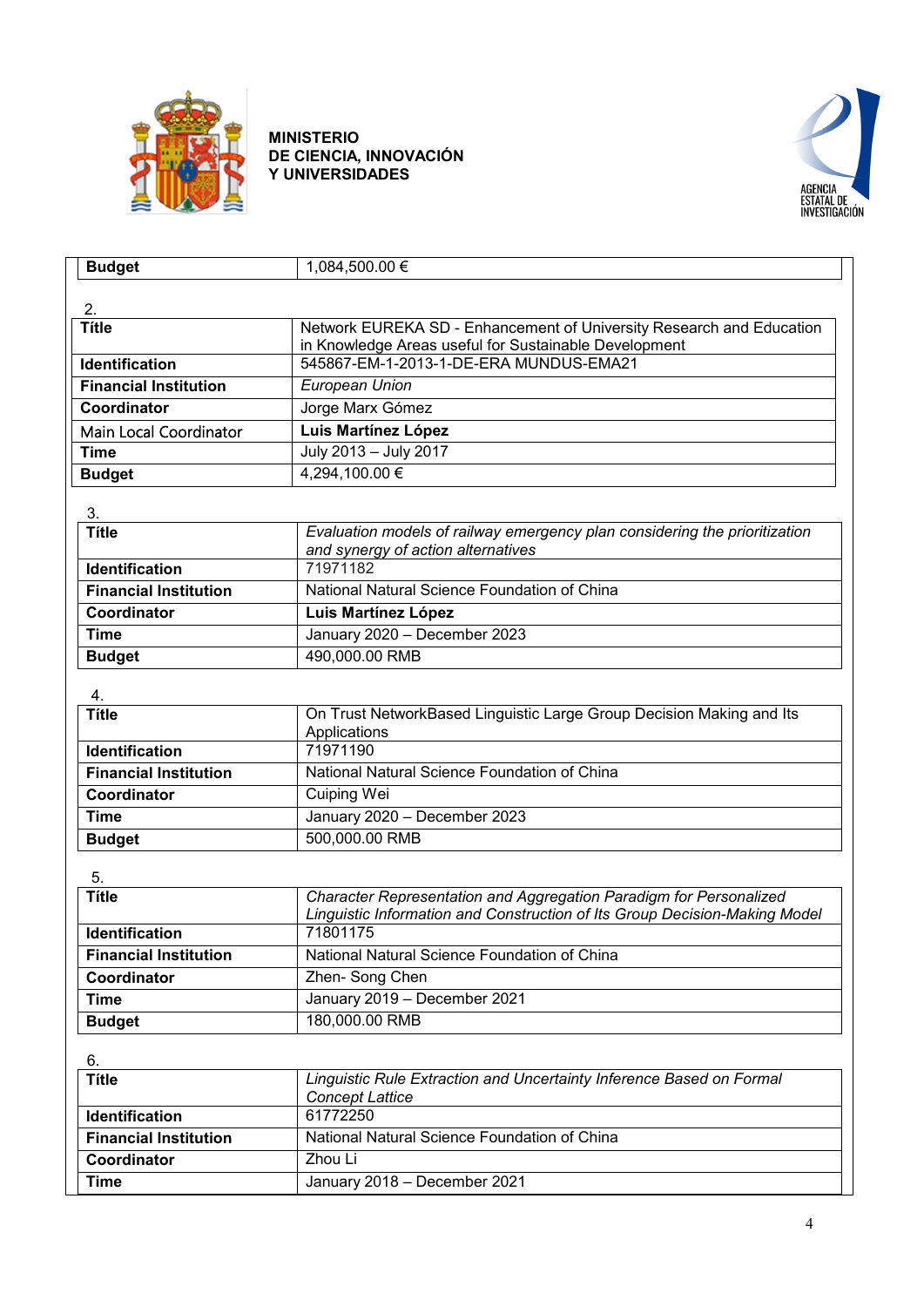



| <b>Budget</b>                | 1,084,500.00 €                                                             |
|------------------------------|----------------------------------------------------------------------------|
|                              |                                                                            |
| 2.                           |                                                                            |
| <b>Títle</b>                 | Network EUREKA SD - Enhancement of University Research and Education       |
|                              | in Knowledge Areas useful for Sustainable Development                      |
| <b>Identification</b>        | 545867-EM-1-2013-1-DE-ERA MUNDUS-EMA21                                     |
| <b>Financial Institution</b> | European Union                                                             |
| Coordinator                  | Jorge Marx Gómez                                                           |
| Main Local Coordinator       | Luis Martínez López                                                        |
| <b>Time</b>                  | July 2013 - July 2017                                                      |
| <b>Budget</b>                | 4,294,100.00 €                                                             |
|                              |                                                                            |
| 3.                           |                                                                            |
| <b>Títle</b>                 | Evaluation models of railway emergency plan considering the prioritization |
| Identification               | and synergy of action alternatives<br>71971182                             |
|                              | National Natural Science Foundation of China                               |
| <b>Financial Institution</b> |                                                                            |
| Coordinator                  | Luis Martínez López                                                        |
| <b>Time</b>                  | January 2020 - December 2023                                               |
| <b>Budget</b>                | 490,000.00 RMB                                                             |
| 4.                           |                                                                            |
| <b>Títle</b>                 | On Trust NetworkBased Linguistic Large Group Decision Making and Its       |
|                              | Applications                                                               |
| <b>Identification</b>        | 71971190                                                                   |
| <b>Financial Institution</b> | National Natural Science Foundation of China                               |
| Coordinator                  | Cuiping Wei                                                                |
| <b>Time</b>                  | January 2020 - December 2023                                               |
| <b>Budget</b>                | 500,000.00 RMB                                                             |
|                              |                                                                            |
| 5.<br><b>Títle</b>           | Character Representation and Aggregation Paradigm for Personalized         |
|                              | Linguistic Information and Construction of Its Group Decision-Making Model |
| Identification               | 71801175                                                                   |
| <b>Financial Institution</b> | National Natural Science Foundation of China                               |
| Coordinator                  | Zhen-Song Chen                                                             |
| <b>Time</b>                  | January 2019 - December 2021                                               |
| <b>Budget</b>                | 180,000.00 RMB                                                             |
|                              |                                                                            |
| 6.                           |                                                                            |
| <b>Títle</b>                 | Linguistic Rule Extraction and Uncertainty Inference Based on Formal       |
|                              | <b>Concept Lattice</b>                                                     |
| Identification               | 61772250                                                                   |
| <b>Financial Institution</b> | National Natural Science Foundation of China                               |
| Coordinator                  | Zhou Li                                                                    |
| <b>Time</b>                  | January 2018 - December 2021                                               |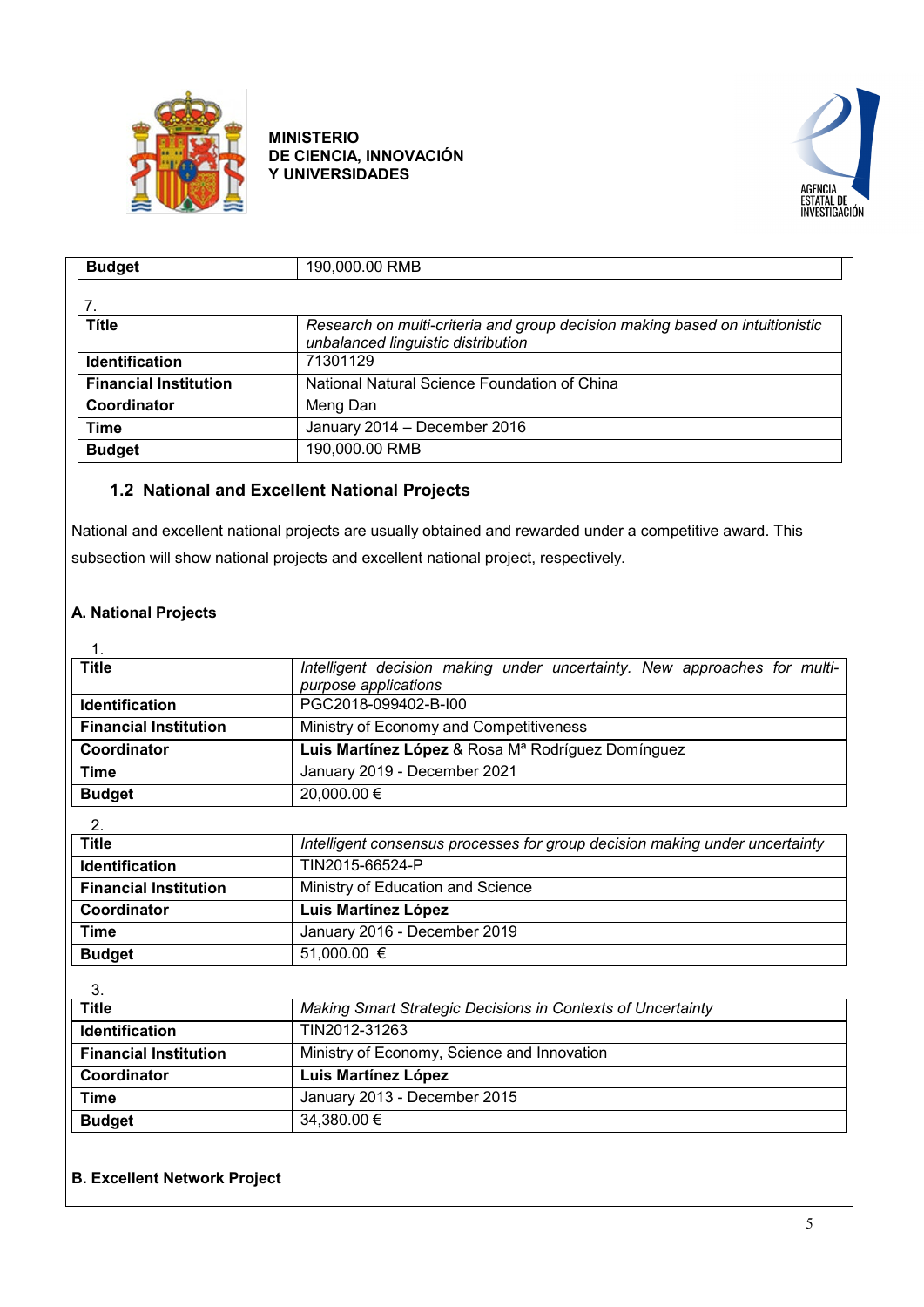



| <b>Budget</b>                | 190,000.00 RMB                                                                                                     |
|------------------------------|--------------------------------------------------------------------------------------------------------------------|
|                              |                                                                                                                    |
| Títle                        | Research on multi-criteria and group decision making based on intuitionistic<br>unbalanced linguistic distribution |
| <b>Identification</b>        | 71301129                                                                                                           |
| <b>Financial Institution</b> | National Natural Science Foundation of China                                                                       |
| Coordinator                  | Meng Dan                                                                                                           |
| <b>Time</b>                  | January 2014 - December 2016                                                                                       |
| <b>Budget</b>                | 190,000.00 RMB                                                                                                     |

# <span id="page-4-0"></span>**1.2 National and Excellent National Projects**

National and excellent national projects are usually obtained and rewarded under a competitive award. This subsection will show national projects and excellent national project, respectively.

## **A. National Projects**

| $\mathbf 1$                  |                                                                                                  |  |
|------------------------------|--------------------------------------------------------------------------------------------------|--|
| <b>Title</b>                 | Intelligent decision making under uncertainty. New approaches for multi-<br>purpose applications |  |
| <b>Identification</b>        | PGC2018-099402-B-I00                                                                             |  |
| <b>Financial Institution</b> | Ministry of Economy and Competitiveness                                                          |  |
| Coordinator                  | Luis Martínez López & Rosa Mª Rodríguez Domínguez                                                |  |
| Time                         | January 2019 - December 2021                                                                     |  |
| <b>Budget</b>                | 20,000.00 €                                                                                      |  |
| 2.                           |                                                                                                  |  |
| <b>Title</b>                 | Intelligent consensus processes for group decision making under uncertainty                      |  |
| <b>Identification</b>        | TIN2015-66524-P                                                                                  |  |
| <b>Financial Institution</b> | Ministry of Education and Science                                                                |  |
| Coordinator                  | Luis Martínez López                                                                              |  |
| <b>Time</b>                  | January 2016 - December 2019                                                                     |  |
| <b>Budget</b>                | 51,000.00 €                                                                                      |  |
| 3.                           |                                                                                                  |  |
| <b>Title</b>                 | Making Smart Strategic Decisions in Contexts of Uncertainty                                      |  |
| <b>Identification</b>        | TIN2012-31263                                                                                    |  |
| <b>Financial Institution</b> | Ministry of Economy, Science and Innovation                                                      |  |
| Coordinator                  | Luis Martínez López                                                                              |  |
| <b>Time</b>                  | January 2013 - December 2015                                                                     |  |
| <b>Budget</b>                | 34,380.00 €                                                                                      |  |

## **B. Excellent Network Project**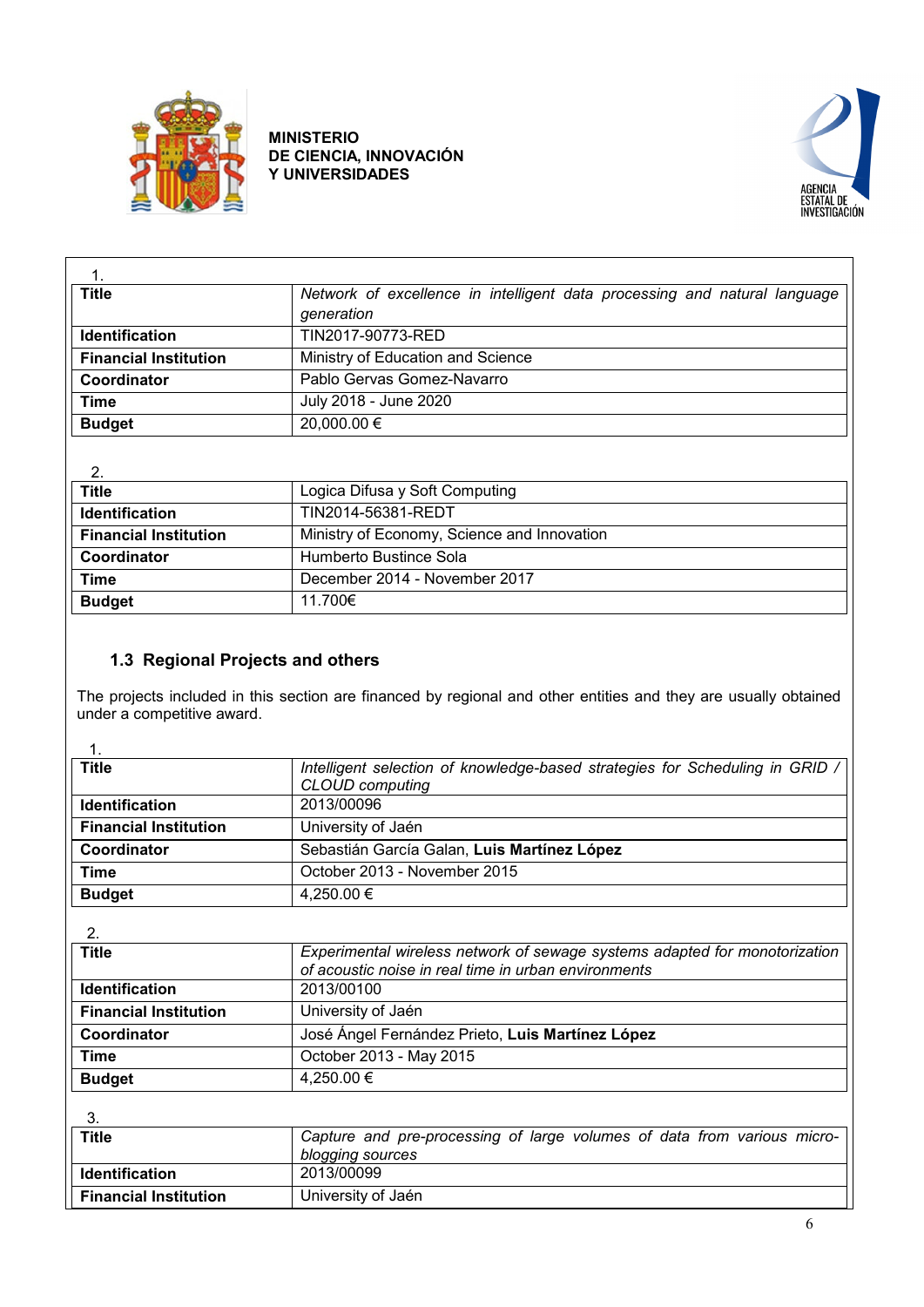



| <b>Title</b>                 | Network of excellence in intelligent data processing and natural language<br>generation |
|------------------------------|-----------------------------------------------------------------------------------------|
| <b>Identification</b>        | TIN2017-90773-RED                                                                       |
| <b>Financial Institution</b> | Ministry of Education and Science                                                       |
| Coordinator                  | Pablo Gervas Gomez-Navarro                                                              |
| Time                         | July 2018 - June 2020                                                                   |
| <b>Budget</b>                | 20,000.00 €                                                                             |

| 2.                           |                                             |
|------------------------------|---------------------------------------------|
| <b>Title</b>                 | Logica Difusa y Soft Computing              |
| <b>Identification</b>        | TIN2014-56381-REDT                          |
| <b>Financial Institution</b> | Ministry of Economy, Science and Innovation |
| Coordinator                  | Humberto Bustince Sola                      |
| Time                         | December 2014 - November 2017               |
| <b>Budget</b>                | 11.700€                                     |

# **1.3 Regional Projects and others**

<span id="page-5-0"></span>The projects included in this section are financed by regional and other entities and they are usually obtained under a competitive award.

|  | ۰, |
|--|----|
|  |    |

| 1.                           |                                                                                                 |
|------------------------------|-------------------------------------------------------------------------------------------------|
| <b>Title</b>                 | Intelligent selection of knowledge-based strategies for Scheduling in GRID /<br>CLOUD computing |
| <b>Identification</b>        | 2013/00096                                                                                      |
| <b>Financial Institution</b> | University of Jaén                                                                              |
| Coordinator                  | Sebastián García Galan, Luis Martínez López                                                     |
| <b>Time</b>                  | October 2013 - November 2015                                                                    |
| <b>Budget</b>                | 4,250.00 €                                                                                      |
|                              |                                                                                                 |
| 2.                           |                                                                                                 |
| <b>Title</b>                 | Experimental wireless network of sewage systems adapted for monotorization                      |
|                              | of acoustic noise in real time in urban environments                                            |
| Identification               | 2013/00100                                                                                      |
| <b>Financial Institution</b> | University of Jaén                                                                              |
| Coordinator                  | José Ángel Fernández Prieto, Luis Martínez López                                                |
| Time                         | October 2013 - May 2015                                                                         |
| <b>Budget</b>                | 4,250.00 €                                                                                      |
|                              |                                                                                                 |
| 3.                           |                                                                                                 |
| <b>Title</b>                 | Capture and pre-processing of large volumes of data from various micro-                         |
|                              | blogging sources                                                                                |
| Identification               | 2013/00099                                                                                      |
| <b>Financial Institution</b> | University of Jaén                                                                              |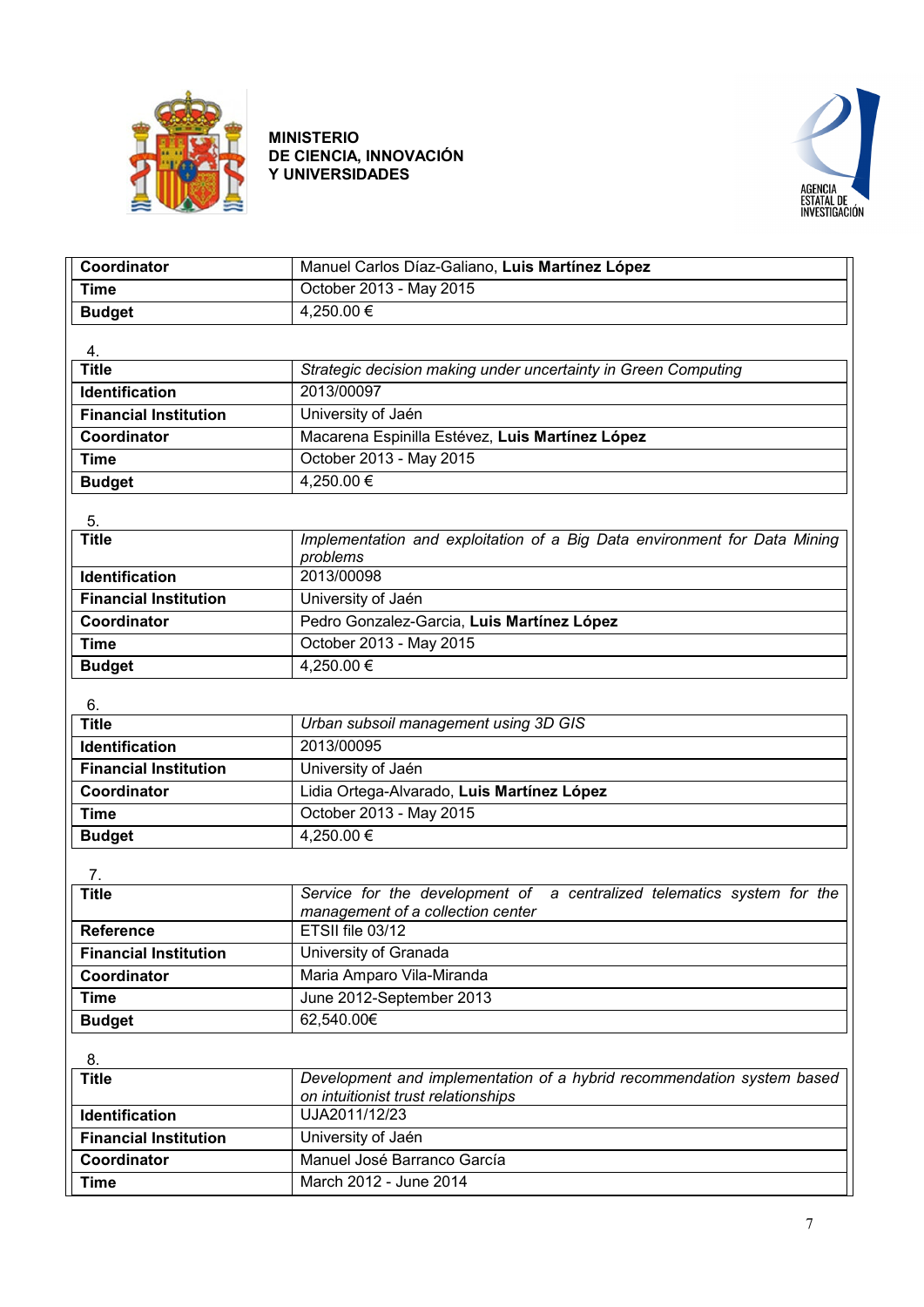



| Coordinator                  | Manuel Carlos Díaz-Galiano, Luis Martínez López                                                               |
|------------------------------|---------------------------------------------------------------------------------------------------------------|
| <b>Time</b>                  | October 2013 - May 2015                                                                                       |
| <b>Budget</b>                | 4,250.00 €                                                                                                    |
|                              |                                                                                                               |
| 4.                           |                                                                                                               |
| <b>Title</b>                 | Strategic decision making under uncertainty in Green Computing                                                |
| <b>Identification</b>        | 2013/00097                                                                                                    |
| <b>Financial Institution</b> | University of Jaén                                                                                            |
| Coordinator                  | Macarena Espinilla Estévez, Luis Martínez López                                                               |
| <b>Time</b>                  | October 2013 - May 2015                                                                                       |
| <b>Budget</b>                | 4,250.00 €                                                                                                    |
|                              |                                                                                                               |
| 5.<br><b>Title</b>           | Implementation and exploitation of a Big Data environment for Data Mining<br>problems                         |
| <b>Identification</b>        | 2013/00098                                                                                                    |
| <b>Financial Institution</b> | University of Jaén                                                                                            |
| Coordinator                  | Pedro Gonzalez-Garcia, Luis Martínez López                                                                    |
| <b>Time</b>                  | October 2013 - May 2015                                                                                       |
| <b>Budget</b>                | $4.250.00 \in$                                                                                                |
|                              |                                                                                                               |
| 6.<br><b>Title</b>           | Urban subsoil management using 3D GIS                                                                         |
| <b>Identification</b>        | 2013/00095                                                                                                    |
| <b>Financial Institution</b> | University of Jaén                                                                                            |
| Coordinator                  | Lidia Ortega-Alvarado, Luis Martínez López                                                                    |
| <b>Time</b>                  | October 2013 - May 2015                                                                                       |
|                              | 4,250.00 €                                                                                                    |
| <b>Budget</b>                |                                                                                                               |
| 7.                           |                                                                                                               |
| <b>Title</b>                 | Service for the development of a centralized telematics system for the<br>management of a collection center   |
| <b>Reference</b>             | ETSII file 03/12                                                                                              |
| <b>Financial Institution</b> | University of Granada                                                                                         |
| Coordinator                  | Maria Amparo Vila-Miranda                                                                                     |
| <b>Time</b>                  | June 2012-September 2013                                                                                      |
| <b>Budget</b>                | 62,540.00€                                                                                                    |
| 8.                           |                                                                                                               |
| <b>Title</b>                 | Development and implementation of a hybrid recommendation system based<br>on intuitionist trust relationships |
| <b>Identification</b>        | UJA2011/12/23                                                                                                 |
| <b>Financial Institution</b> | University of Jaén                                                                                            |
| Coordinator                  | Manuel José Barranco García                                                                                   |
| <b>Time</b>                  | March 2012 - June 2014                                                                                        |
|                              |                                                                                                               |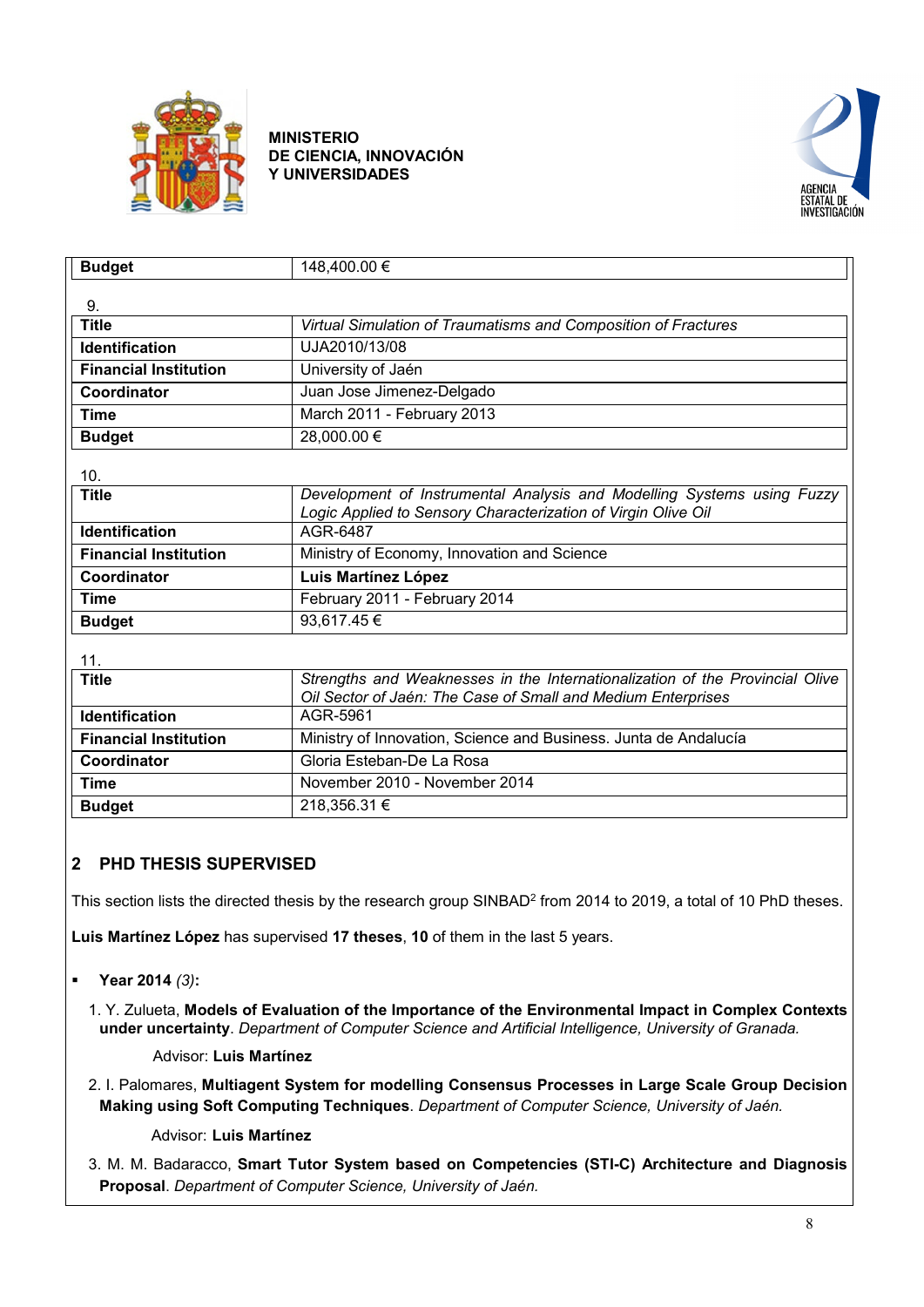



| <b>Budget</b>                | 148,400.00 €                                                                 |
|------------------------------|------------------------------------------------------------------------------|
|                              |                                                                              |
| 9.                           |                                                                              |
| <b>Title</b>                 | Virtual Simulation of Traumatisms and Composition of Fractures               |
| <b>Identification</b>        | UJA2010/13/08                                                                |
| <b>Financial Institution</b> | University of Jaén                                                           |
| Coordinator                  | Juan Jose Jimenez-Delgado                                                    |
| <b>Time</b>                  | March 2011 - February 2013                                                   |
| <b>Budget</b>                | 28,000.00 €                                                                  |
| 10.                          |                                                                              |
| <b>Title</b>                 | Development of Instrumental Analysis and Modelling Systems using Fuzzy       |
|                              | Logic Applied to Sensory Characterization of Virgin Olive Oil                |
| <b>Identification</b>        | AGR-6487                                                                     |
| <b>Financial Institution</b> | Ministry of Economy, Innovation and Science                                  |
| Coordinator                  | Luis Martínez López                                                          |
| <b>Time</b>                  | February 2011 - February 2014                                                |
| <b>Budget</b>                | 93,617.45€                                                                   |
|                              |                                                                              |
| 11.                          | Strengths and Weaknesses in the Internationalization of the Provincial Olive |
| <b>Title</b>                 | Oil Sector of Jaén: The Case of Small and Medium Enterprises                 |
| <b>Identification</b>        | AGR-5961                                                                     |
| <b>Financial Institution</b> | Ministry of Innovation, Science and Business. Junta de Andalucía             |
| Coordinator                  | Gloria Esteban-De La Rosa                                                    |
| <b>Time</b>                  | November 2010 - November 2014                                                |
| <b>Budget</b>                | 218,356.31 €                                                                 |

# <span id="page-7-0"></span>**2 PHD THESIS SUPERVISED**

This section lists the directed thesis by the research group SINBAD<sup>2</sup> from 2014 to 2019, a total of 10 PhD theses.

**[Luis Martínez López](https://sinbad2.ujaen.es/es/users/martin)** has supervised **17 theses**, **10** of them in the last 5 years.

- **Year 2014** *(3)***:**
	- 1. Y. Zulueta, **Models of Evaluation of the Importance of the Environmental Impact in Complex Contexts under uncertainty**. *Department of Computer Science and Artificial Intelligence, University of Granada.*

Advisor: **Luis Martínez**

 2. I. Palomares, **Multiagent System for modelling Consensus Processes in Large Scale Group Decision Making using Soft Computing Techniques**. *Department of Computer Science, University of Jaén.*

## Advisor: **Luis Martínez**

 3. M. M. Badaracco, **Smart Tutor System based on Competencies (STI-C) Architecture and Diagnosis Proposal**. *Department of Computer Science, University of Jaén.*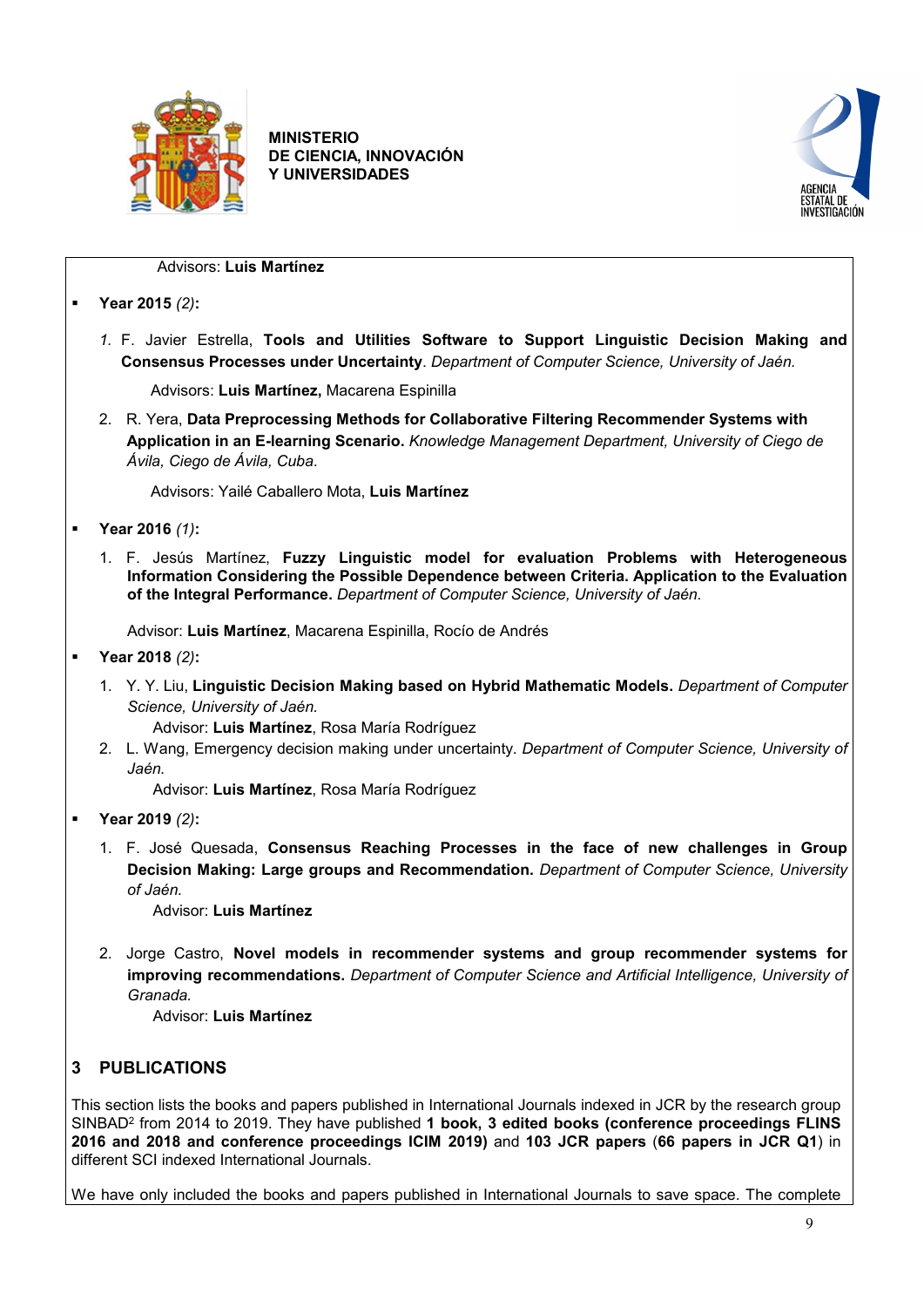



#### Advisors: **Luis Martínez**

- **Year 2015** *(2)***:**
	- *1.* F. Javier Estrella, **Tools and Utilities Software to Support Linguistic Decision Making and Consensus Processes under Uncertainty**. *Department of Computer Science, University of Jaén.*

Advisors: **Luis Martínez,** Macarena Espinilla

2. R. Yera, **Data Preprocessing Methods for Collaborative Filtering Recommender Systems with Application in an E-learning Scenario.** *Knowledge Management Department, University of Ciego de Ávila, Ciego de Ávila, Cuba*.

Advisors: Yailé Caballero Mota, **Luis Martínez**

- **Year 2016** *(1)***:**
	- 1. F. Jesús Martínez, **Fuzzy Linguistic model for evaluation Problems with Heterogeneous Information Considering the Possible Dependence between Criteria. Application to the Evaluation of the Integral Performance.** *Department of Computer Science, University of Jaén.*

Advisor: **Luis Martínez**, Macarena Espinilla, Rocío de Andrés

- **Year 2018** *(2)***:**
	- 1. Y. Y. Liu, **Linguistic Decision Making based on Hybrid Mathematic Models.** *Department of Computer Science, University of Jaén.*

Advisor: **Luis Martínez**, Rosa María Rodríguez

2. L. Wang, Emergency decision making under uncertainty. *Department of Computer Science, University of Jaén.*

Advisor: **Luis Martínez**, Rosa María Rodríguez

- **Year 2019** *(2)***:**
	- 1. F. José Quesada, **Consensus Reaching Processes in the face of new challenges in Group Decision Making: Large groups and Recommendation.** *Department of Computer Science, University of Jaén.*

Advisor: **Luis Martínez**

2. Jorge Castro, **Novel models in recommender systems and group recommender systems for improving recommendations.** *Department of Computer Science and Artificial Intelligence, University of Granada.*

Advisor: **Luis Martínez**

## <span id="page-8-0"></span>**3 PUBLICATIONS**

This section lists the books and papers published in International Journals indexed in JCR by the research group SINBAD2 from 2014 to 2019. They have published **1 book, 3 edited books (conference proceedings FLINS 2016 and 2018 and conference proceedings ICIM 2019)** and **103 JCR papers** (**66 papers in JCR Q1**) in different SCI indexed International Journals.

We have only included the books and papers published in International Journals to save space. The complete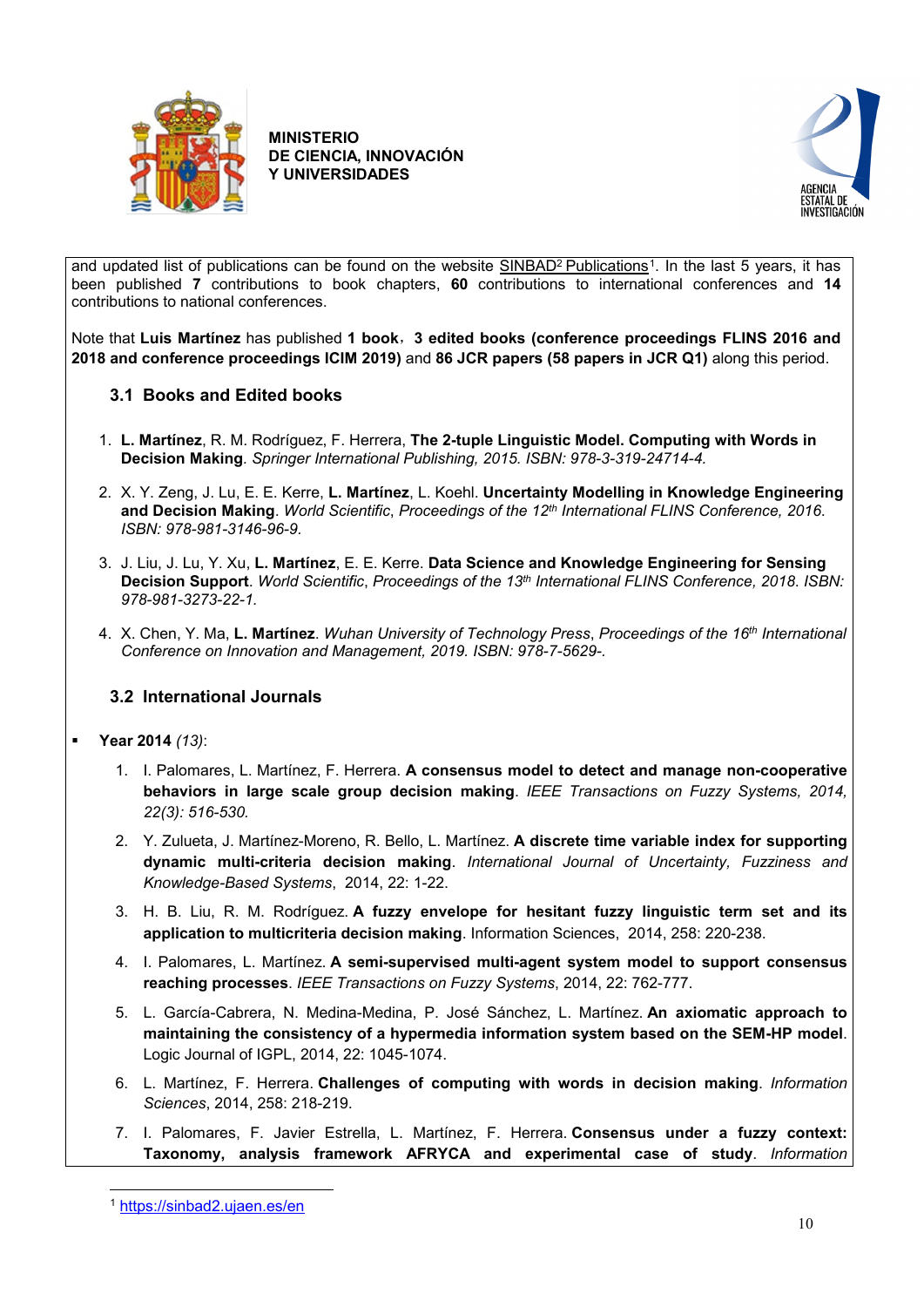



and updated list of publications can be found on the website SINBAD<sup>2</sup> Publications<sup>[1](#page-9-2)</sup>. In the last 5 years, it has been published **7** contributions to book chapters, **60** contributions to international conferences and **14** contributions to national conferences.

Note that **Luis Martínez** has published **1 book**,**3 edited books (conference proceedings FLINS 2016 and 2018 and conference proceedings ICIM 2019)** and **86 JCR papers (58 papers in JCR Q1)** along this period.

## <span id="page-9-0"></span>**3.1 Books and Edited books**

- 1. **L. Martínez**, R. M. Rodríguez, F. Herrera, **The 2-tuple Linguistic Model. Computing with Words in Decision Making***. Springer International Publishing, 2015. ISBN: 978-3-319-24714-4.*
- 2. X. Y. Zeng, J. Lu, E. E. Kerre, **L. Martínez**, L. Koehl. **Uncertainty Modelling in Knowledge Engineering and Decision Making**. *World Scientific*, *Proceedings of the 12th International FLINS Conference, 2016*. *ISBN: 978-981-3146-96-9.*
- 3. J. Liu, J. Lu, Y. Xu, **L. Martínez**, E. E. Kerre. **Data Science and Knowledge Engineering for Sensing Decision Support**. *World Scientific*, *Proceedings of the 13th International FLINS Conference, 2018*. *ISBN: 978-981-3273-22-1.*
- 4. X. Chen, Y. Ma, **L. Martínez**. *Wuhan University of Technology Press*, *Proceedings of the 16th International Conference on Innovation and Management, 2019. ISBN: 978-7-5629-.*

## <span id="page-9-1"></span>**3.2 International Journals**

- **Year 2014** *(13)*:
	- 1. I. Palomares, L. Martínez, F. Herrera. **[A consensus model to detect and manage non-cooperative](https://sinbad2.ujaen.es/es/bibcite/reference/318)  [behaviors in large scale group decision making](https://sinbad2.ujaen.es/es/bibcite/reference/318)**. *IEEE Transactions on Fuzzy Systems, 2014, 22(3): 516-530.*
	- 2. Y. Zulueta, J. Martínez-Moreno, R. Bello, L. Martínez. **[A discrete time variable index for supporting](https://sinbad2.ujaen.es/es/bibcite/reference/320)  [dynamic multi-criteria decision making](https://sinbad2.ujaen.es/es/bibcite/reference/320)**. *International Journal of Uncertainty, Fuzziness and Knowledge-Based Systems*, 2014, 22: 1-22.
	- 3. H. B. Liu, R. M. Rodríguez. **[A fuzzy envelope for hesitant fuzzy linguistic term set and its](https://sinbad2.ujaen.es/es/bibcite/reference/322)  [application to multicriteria decision making](https://sinbad2.ujaen.es/es/bibcite/reference/322)**. Information Sciences, 2014, 258: 220-238.
	- 4. I. Palomares, L. Martínez. **[A semi-supervised multi-agent system model to support consensus](https://sinbad2.ujaen.es/es/bibcite/reference/329)  [reaching processes](https://sinbad2.ujaen.es/es/bibcite/reference/329)**. *IEEE Transactions on Fuzzy Systems*, 2014, 22: 762-777.
	- 5. L. García-Cabrera, N. Medina-Medina, P. José Sánchez, L. Martínez. **[An axiomatic approach to](https://sinbad2.ujaen.es/es/bibcite/reference/314)  [maintaining the consistency of a hypermedia information system based on the SEM-HP model](https://sinbad2.ujaen.es/es/bibcite/reference/314)**. Logic Journal of IGPL, 2014, 22: 1045-1074.
	- 6. L. Martínez, F. Herrera. **[Challenges of computing with words in decision making](https://sinbad2.ujaen.es/es/bibcite/reference/315)**. *Information Sciences*, 2014, 258: 218-219.
	- 7. I. Palomares, F. Javier Estrella, L. Martínez, F. Herrera. **[Consensus under a fuzzy context:](https://sinbad2.ujaen.es/es/bibcite/reference/319)  [Taxonomy, analysis framework AFRYCA and experimental case of study](https://sinbad2.ujaen.es/es/bibcite/reference/319)**. *Information*

<span id="page-9-2"></span> <sup>1</sup> <https://sinbad2.ujaen.es/en>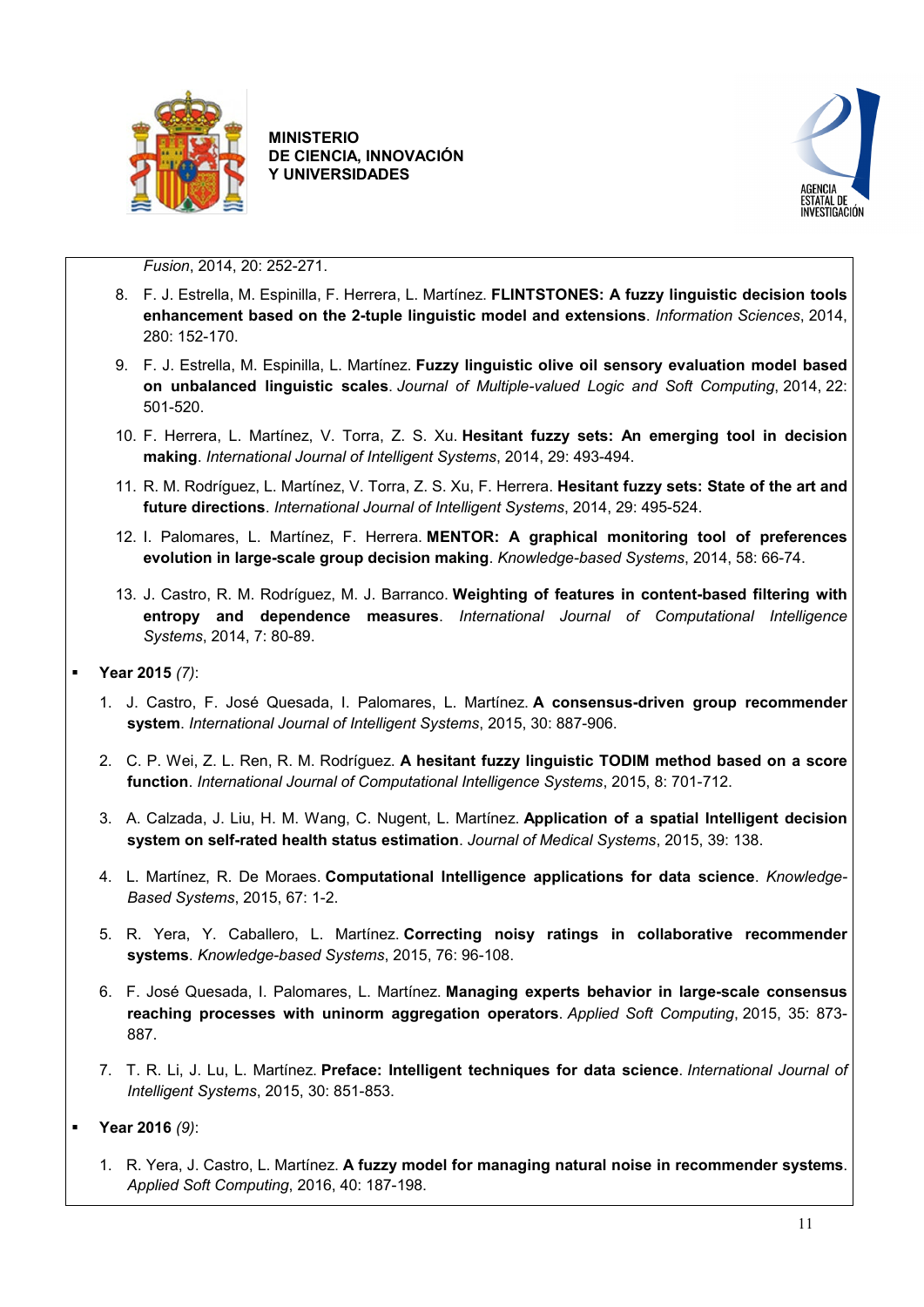



*Fusion*, 2014, 20: 252-271.

- 8. F. J. Estrella, M. Espinilla, F. Herrera, L. Martínez. **[FLINTSTONES: A fuzzy linguistic decision tools](https://sinbad2.ujaen.es/es/bibcite/reference/321)  [enhancement based on the 2-tuple linguistic model and extensions](https://sinbad2.ujaen.es/es/bibcite/reference/321)**. *Information Sciences*, 2014, 280: 152-170.
- 9. F. J. Estrella, M. Espinilla, L. Martínez. **[Fuzzy linguistic olive oil sensory evaluation model based](https://sinbad2.ujaen.es/es/bibcite/reference/323)  [on unbalanced linguistic scales](https://sinbad2.ujaen.es/es/bibcite/reference/323)**. *Journal of Multiple-valued Logic and Soft Computing*, 2014, 22: 501-520.
- 10. F. Herrera, L. Martínez, V. Torra, Z. S. Xu. **[Hesitant fuzzy sets: An emerging tool in decision](https://sinbad2.ujaen.es/es/bibcite/reference/325)  [making](https://sinbad2.ujaen.es/es/bibcite/reference/325)**. *International Journal of Intelligent Systems*, 2014, 29: 493-494.
- 11. R. M. Rodríguez, L. Martínez, V. Torra, Z. S. Xu, F. Herrera. **[Hesitant fuzzy sets: State of the art and](https://sinbad2.ujaen.es/es/bibcite/reference/326)  [future directions](https://sinbad2.ujaen.es/es/bibcite/reference/326)**. *International Journal of Intelligent Systems*, 2014, 29: 495-524.
- 12. I. Palomares, L. Martínez, F. Herrera. **[MENTOR: A graphical monitoring tool of preferences](https://sinbad2.ujaen.es/es/bibcite/reference/327)  [evolution in large-scale group decision making](https://sinbad2.ujaen.es/es/bibcite/reference/327)**. *Knowledge-based Systems*, 2014, 58: 66-74.
- 13. J. Castro, R. M. Rodríguez, M. J. Barranco. **[Weighting of features in content-based filtering with](https://sinbad2.ujaen.es/es/bibcite/reference/333)  [entropy and dependence measures](https://sinbad2.ujaen.es/es/bibcite/reference/333)**. *International Journal of Computational Intelligence Systems*, 2014, 7: 80-89.
- **Year 2015** *(7)*:
	- 1. J. Castro, F. José Quesada, I. Palomares, L. Martínez. **[A consensus-driven group recommender](https://sinbad2.ujaen.es/es/bibcite/reference/304)  [system](https://sinbad2.ujaen.es/es/bibcite/reference/304)**. *International Journal of Intelligent Systems*, 2015, 30: 887-906.
	- 2. C. P. Wei, Z. L. Ren, R. M. Rodríguez. **[A hesitant fuzzy linguistic TODIM method based on a score](https://sinbad2.ujaen.es/es/bibcite/reference/306)  [function](https://sinbad2.ujaen.es/es/bibcite/reference/306)**. *International Journal of Computational Intelligence Systems*, 2015, 8: 701-712.
	- 3. A. Calzada, J. Liu, H. M. Wang, C. Nugent, L. Martínez. **[Application of a spatial Intelligent decision](https://sinbad2.ujaen.es/es/bibcite/reference/300)  [system on self-rated health status estimation](https://sinbad2.ujaen.es/es/bibcite/reference/300)**. *Journal of Medical Systems*, 2015, 39: 138.
	- 4. L. Martínez, R. De Moraes. **[Computational Intelligence applications for data science](https://sinbad2.ujaen.es/es/bibcite/reference/303)**. *Knowledge-Based Systems*, 2015, 67: 1-2.
	- 5. R. Yera, Y. Caballero, L. Martínez. **[Correcting noisy ratings in collaborative recommender](https://sinbad2.ujaen.es/es/bibcite/reference/305)  [systems](https://sinbad2.ujaen.es/es/bibcite/reference/305)**. *Knowledge-based Systems*, 2015, 76: 96-108.
	- 6. F. José Quesada, I. Palomares, L. Martínez. **[Managing experts behavior in large-scale consensus](https://sinbad2.ujaen.es/es/bibcite/reference/307)  [reaching processes with uninorm aggregation operators](https://sinbad2.ujaen.es/es/bibcite/reference/307)**. *Applied Soft Computing*, 2015, 35: 873- 887.
	- 7. T. R. Li, J. Lu, L. Martínez. **[Preface: Intelligent techniques for data science](https://sinbad2.ujaen.es/es/bibcite/reference/310)**. *International Journal of Intelligent Systems*, 2015, 30: 851-853.
- **Year 2016** *(9)*:
	- 1. R. Yera, J. Castro, L. Martínez. **[A fuzzy model for managing natural noise in recommender systems](https://sinbad2.ujaen.es/es/bibcite/reference/289)**. *Applied Soft Computing*, 2016, 40: 187-198.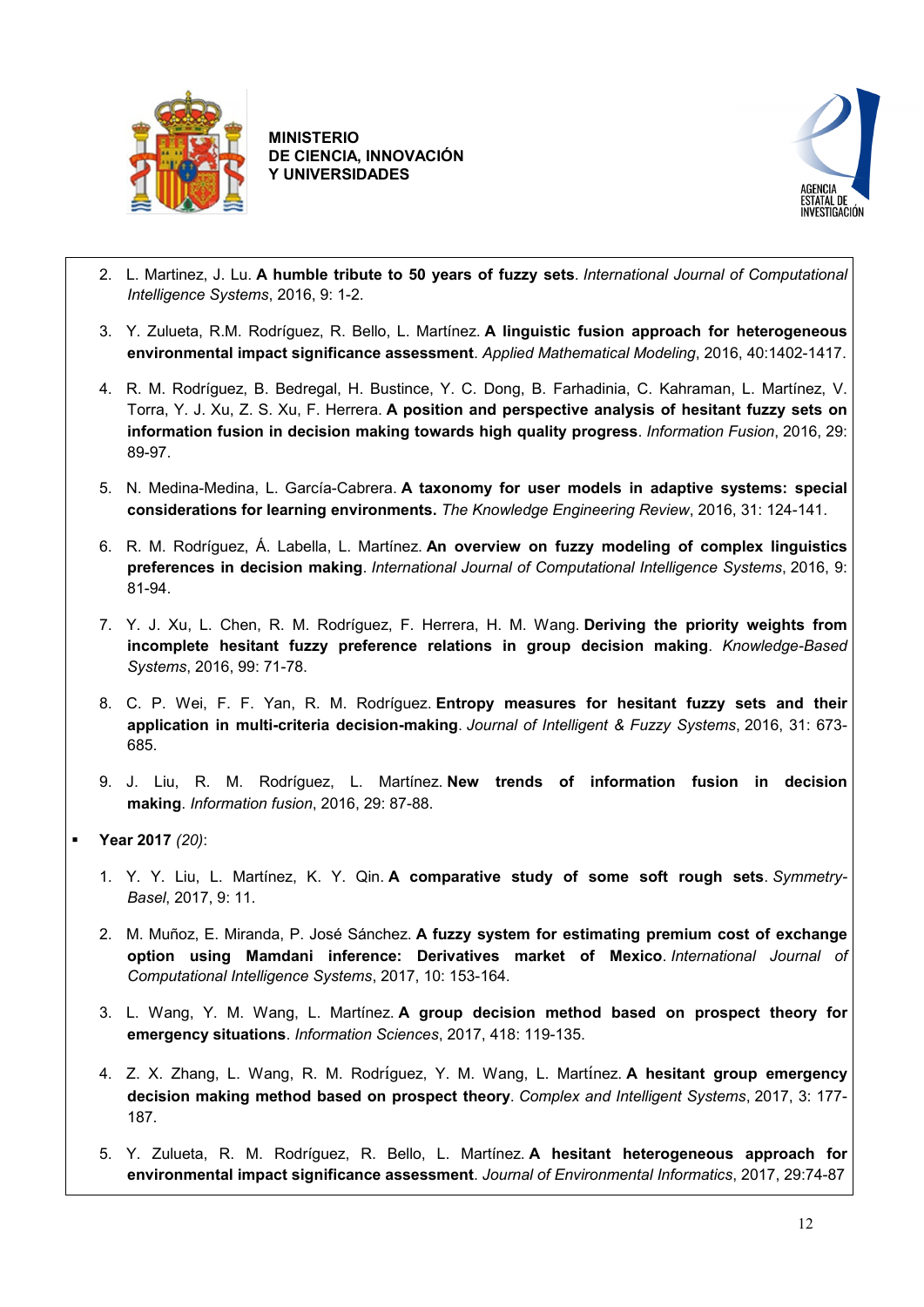



- 2. L. Martinez, J. Lu. **[A humble tribute to 50 years of fuzzy sets](https://sinbad2.ujaen.es/es/bibcite/reference/290)**. *International Journal of Computational Intelligence Systems*, 2016, 9: 1-2.
- 3. Y. Zulueta, R.M. Rodríguez, R. Bello, L. Martínez. **[A linguistic fusion approach for heterogeneous](https://sinbad2.ujaen.es/es/bibcite/reference/293)  [environmental impact significance assessment](https://sinbad2.ujaen.es/es/bibcite/reference/293)**. *Applied Mathematical Modeling*, 2016, 40:1402-1417.
- 4. R. M. Rodríguez, B. Bedregal, H. Bustince, Y. C. Dong, B. Farhadinia, C. Kahraman, L. Martínez, V. Torra, Y. J. Xu, Z. S. Xu, F. Herrera. **[A position and perspective analysis of hesitant fuzzy sets on](https://sinbad2.ujaen.es/es/bibcite/reference/298)  [information fusion in decision making](https://sinbad2.ujaen.es/es/bibcite/reference/298) towards high quality progress**. *Information Fusion*, 2016, 29: 89-97.
- 5. N. Medina-Medina, L. García-Cabrera. **[A taxonomy for user models in adaptive systems: special](https://sinbad2.ujaen.es/es/bibcite/reference/299)  [considerations for learning environments.](https://sinbad2.ujaen.es/es/bibcite/reference/299)** *The Knowledge Engineering Review*, 2016, 31: 124-141.
- 6. R. M. Rodríguez, Á. Labella, L. Martínez. **[An overview on fuzzy modeling of complex linguistics](https://sinbad2.ujaen.es/es/bibcite/reference/297)  [preferences in decision making](https://sinbad2.ujaen.es/es/bibcite/reference/297)**. *International Journal of Computational Intelligence Systems*, 2016, 9: 81-94.
- 7. Y. J. Xu, L. Chen, R. M. Rodríguez, F. Herrera, H. M. Wang. **[Deriving the priority weights from](https://sinbad2.ujaen.es/es/bibcite/reference/287)  [incomplete hesitant fuzzy preference relations in group decision](https://sinbad2.ujaen.es/es/bibcite/reference/287) making**. *Knowledge-Based Systems*, 2016, 99: 71-78.
- 8. C. P. Wei, F. F. Yan, R. M. Rodríguez. **[Entropy measures for hesitant fuzzy sets and their](https://sinbad2.ujaen.es/es/bibcite/reference/288)  [application in multi-criteria decision-making](https://sinbad2.ujaen.es/es/bibcite/reference/288)**. *Journal of Intelligent & Fuzzy Systems*, 2016, 31: 673- 685.
- 9. J. Liu, R. M. Rodríguez, L. Martínez. **[New trends of information fusion in decision](https://sinbad2.ujaen.es/es/bibcite/reference/296)  [making](https://sinbad2.ujaen.es/es/bibcite/reference/296)**. *Information fusion*, 2016, 29: 87-88.
- **Year 2017** *(20)*:
	- 1. Y. Y. Liu, L. Martínez, K. Y. Qin. **[A comparative study of some soft rough sets](https://sinbad2.ujaen.es/es/bibcite/reference/264)**. *Symmetry-Basel*, 2017, 9: 11.
	- 2. M. Muñoz, E. Miranda, P. José Sánchez. **[A fuzzy system for estimating premium cost of exchange](https://sinbad2.ujaen.es/es/bibcite/reference/271)  [option using Mamdani inference: Derivatives market of Mexico](https://sinbad2.ujaen.es/es/bibcite/reference/271)**. *International Journal of Computational Intelligence Systems*, 2017, 10: 153-164.
	- 3. L. Wang, Y. M. Wang, L. Martínez. **[A group decision method based on prospect theory for](https://sinbad2.ujaen.es/es/bibcite/reference/273)  [emergency situations](https://sinbad2.ujaen.es/es/bibcite/reference/273)**. *Information Sciences*, 2017, 418: 119-135.
	- 4. Z. X. Zhang, L. Wang, R. M. Rodríguez, Y. M. Wang, L. Martínez. **[A hesitant group emergency](https://sinbad2.ujaen.es/es/bibcite/reference/274)  [decision making method based on prospect theory](https://sinbad2.ujaen.es/es/bibcite/reference/274)**. *Complex and Intelligent Systems*, 2017, 3: 177- 187.
	- 5. Y. Zulueta, R. M. Rodríguez, R. Bello, L. Martínez. **[A hesitant heterogeneous approach for](https://sinbad2.ujaen.es/es/bibcite/reference/275)  [environmental impact significance assessment](https://sinbad2.ujaen.es/es/bibcite/reference/275)**. *Journal of Environmental Informatics*, 2017, 29:74-87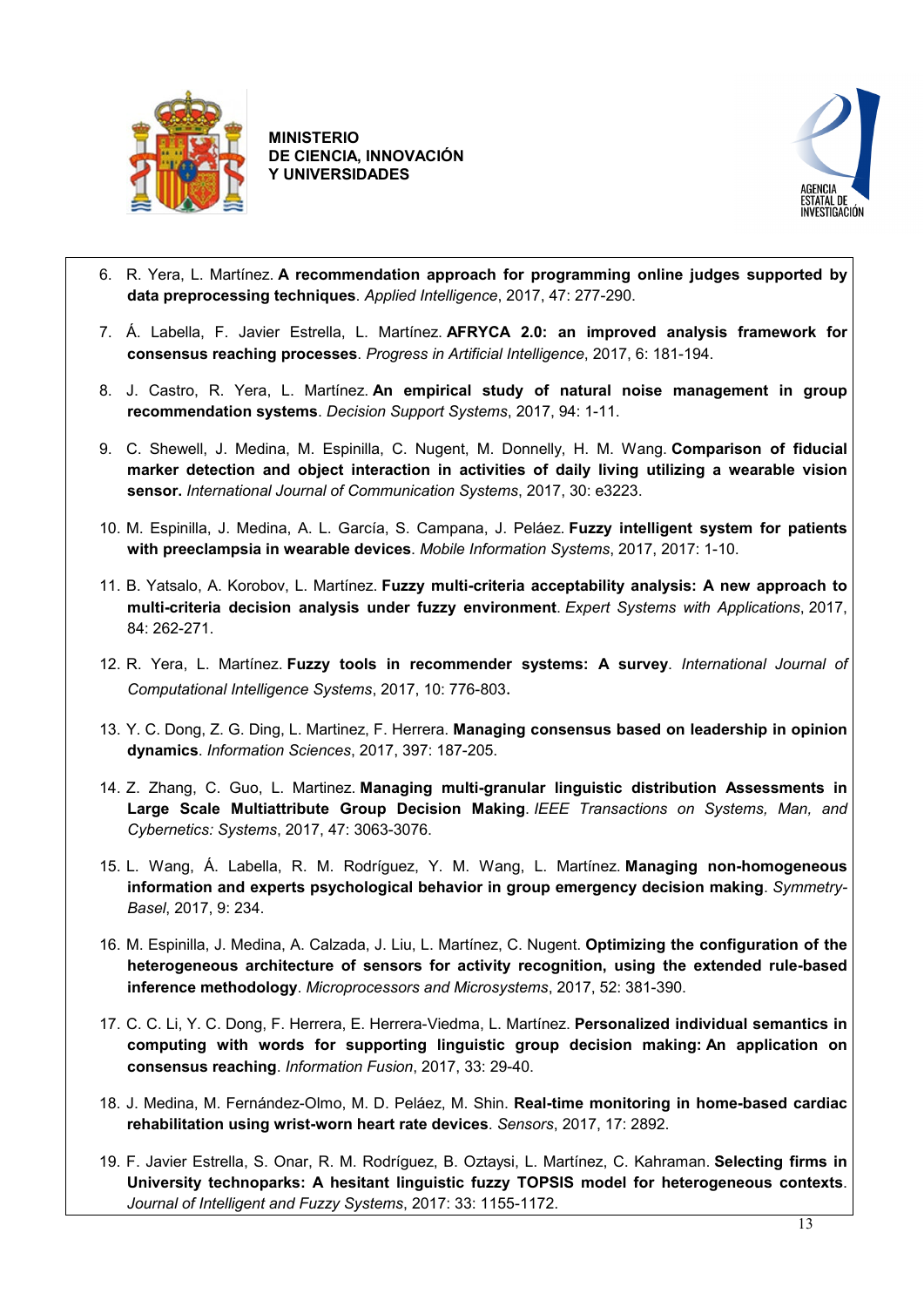



- 6. R. Yera, L. Martínez. **[A recommendation approach for programming online judges supported by](https://sinbad2.ujaen.es/es/bibcite/reference/283)  [data preprocessing techniques](https://sinbad2.ujaen.es/es/bibcite/reference/283)**. *Applied Intelligence*, 2017, 47: 277-290.
- 7. Á. Labella, F. Javier Estrella, L. Martínez. **[AFRYCA 2.0: an improved analysis framework for](https://sinbad2.ujaen.es/es/bibcite/reference/262)  [consensus reaching processes](https://sinbad2.ujaen.es/es/bibcite/reference/262)**. *Progress in Artificial Intelligence*, 2017, 6: 181-194.
- 8. J. Castro, R. Yera, L. Martínez. **[An empirical study of natural noise management in group](https://sinbad2.ujaen.es/es/bibcite/reference/267)  [recommendation systems](https://sinbad2.ujaen.es/es/bibcite/reference/267)**. *Decision Support Systems*, 2017, 94: 1-11.
- 9. C. Shewell, J. Medina, M. Espinilla, C. Nugent, M. Donnelly, H. M. Wang. **[Comparison of fiducial](https://sinbad2.ujaen.es/es/bibcite/reference/265)  [marker detection and object interaction in activities of daily living utilizing a wearable vision](https://sinbad2.ujaen.es/es/bibcite/reference/265)  [sensor.](https://sinbad2.ujaen.es/es/bibcite/reference/265)** *International Journal of Communication Systems*, 2017, 30: e3223.
- 10. M. Espinilla, J. Medina, A. L. García, S. Campana, J. Peláez. **[Fuzzy intelligent system for patients](https://sinbad2.ujaen.es/es/bibcite/reference/268)  [with preeclampsia in wearable devices](https://sinbad2.ujaen.es/es/bibcite/reference/268)**. *Mobile Information Systems*, 2017, 2017: 1-10.
- 11. B. Yatsalo, A. Korobov, L. Martínez. **[Fuzzy multi-criteria acceptability analysis: A new approach to](https://sinbad2.ujaen.es/es/bibcite/reference/270)  [multi-criteria decision analysis under fuzzy environment](https://sinbad2.ujaen.es/es/bibcite/reference/270)**. *Expert Systems with Applications*, 2017, 84: 262-271.
- 12. R. Yera, L. Martínez. **[Fuzzy tools in recommender systems: A survey](https://sinbad2.ujaen.es/es/bibcite/reference/272)**. *International Journal of Computational Intelligence Systems*, 2017, 10: 776-803.
- 13. Y. C. Dong, Z. G. Ding, L. Martinez, F. Herrera. **[Managing consensus based on leadership in opinion](https://sinbad2.ujaen.es/es/bibcite/reference/276)  [dynamics](https://sinbad2.ujaen.es/es/bibcite/reference/276)**. *Information Sciences*, 2017, 397: 187-205.
- 14. Z. Zhang, C. Guo, L. Martinez. **[Managing multi-granular linguistic distribution Assessments in](https://sinbad2.ujaen.es/es/bibcite/reference/277)  [Large Scale Multiattribute Group Decision Making](https://sinbad2.ujaen.es/es/bibcite/reference/277)**. *IEEE Transactions on Systems, Man, and Cybernetics: Systems*, 2017, 47: 3063-3076.
- 15. L. Wang, Á. Labella, R. M. Rodríguez, Y. M. Wang, L. Martínez. **[Managing non-homogeneous](https://sinbad2.ujaen.es/es/bibcite/reference/278)  [information and experts psychological behavior in group emergency decision making](https://sinbad2.ujaen.es/es/bibcite/reference/278)**. *Symmetry-Basel*, 2017, 9: 234.
- 16. M. Espinilla, J. Medina, A. Calzada, J. Liu, L. Martínez, C. Nugent. **[Optimizing the configuration of the](https://sinbad2.ujaen.es/es/bibcite/reference/279)  [heterogeneous architecture of sensors for activity recognition, using the extended rule-based](https://sinbad2.ujaen.es/es/bibcite/reference/279)  [inference methodology](https://sinbad2.ujaen.es/es/bibcite/reference/279)**. *Microprocessors and Microsystems*, 2017, 52: 381-390.
- 17. C. C. Li, Y. C. Dong, F. Herrera, E. Herrera-Viedma, L. Martínez. **[Personalized individual semantics in](https://sinbad2.ujaen.es/es/bibcite/reference/281)  [computing with words for supporting linguistic group decision making:](https://sinbad2.ujaen.es/es/bibcite/reference/281) An application on [consensus reaching](https://sinbad2.ujaen.es/es/bibcite/reference/281)**. *Information Fusion*, 2017, 33: 29-40.
- 18. J. Medina, M. Fernández-Olmo, M. D. Peláez, M. Shin. **[Real-time monitoring in home-based cardiac](https://sinbad2.ujaen.es/es/bibcite/reference/282)  [rehabilitation using wrist-worn heart rate devices](https://sinbad2.ujaen.es/es/bibcite/reference/282)**. *Sensors*, 2017, 17: 2892.
- 19. F. Javier Estrella, S. Onar, R. M. Rodríguez, B. Oztaysi, L. Martínez, C. Kahraman. **[Selecting firms in](https://sinbad2.ujaen.es/es/bibcite/reference/284)  [University technoparks: A hesitant linguistic fuzzy TOPSIS model for heterogeneous contexts](https://sinbad2.ujaen.es/es/bibcite/reference/284)**. *Journal of Intelligent and Fuzzy Systems*, 2017: 33: 1155-1172.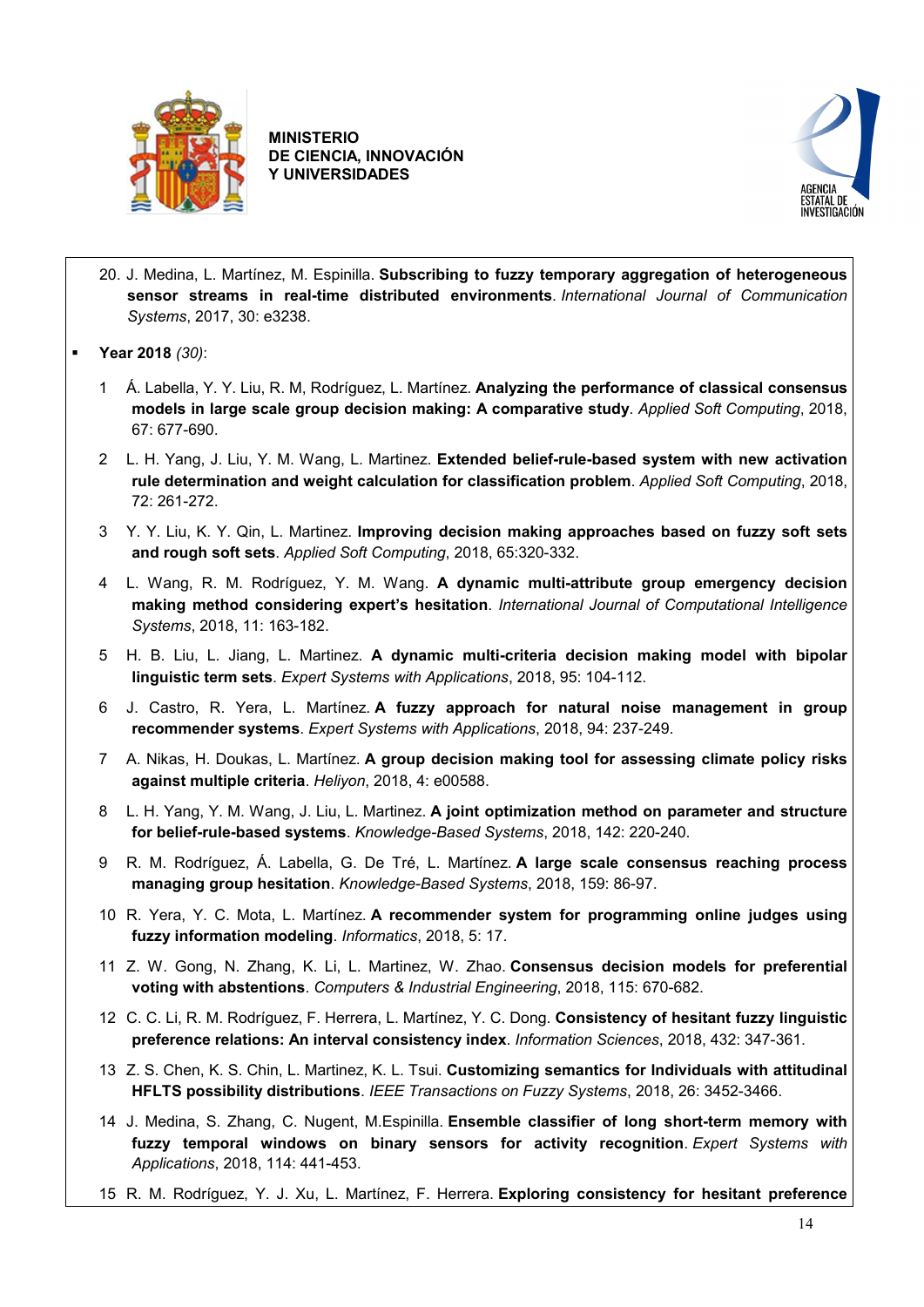



- 20. J. Medina, L. Martínez, M. Espinilla. **[Subscribing to fuzzy temporary aggregation of heterogeneous](https://sinbad2.ujaen.es/es/bibcite/reference/286)  [sensor streams in real-time distributed environments](https://sinbad2.ujaen.es/es/bibcite/reference/286)**. *International Journal of Communication Systems*, 2017, 30: e3238.
- **Year 2018** *(30)*:
	- 1 Á. Labella, Y. Y. Liu, R. M, Rodríguez, L. Martínez. **Analyzing the performance of classical consensus models in large scale group decision making: A comparative study**. *Applied Soft Computing*, 2018, 67: 677-690.
	- 2 L. H. Yang, J. Liu, Y. M. Wang, L. Martinez. **Extended belief-rule-based system with new activation rule determination and weight calculation for classification problem**. *Applied Soft Computing*, 2018, 72: 261-272.
	- 3 Y. Y. Liu, K. Y. Qin, L. Martinez. **Improving decision making approaches based on fuzzy soft sets and rough soft sets**. *Applied Soft Computing*, 2018, 65:320-332.
	- 4 L. Wang, R. M. Rodríguez, Y. M. Wang. **A dynamic multi-attribute group emergency decision making method considering expert's hesitation**. *International Journal of Computational Intelligence Systems*, 2018, 11: 163-182.
	- 5 H. B. Liu, L. Jiang, L. Martinez. **A dynamic multi-criteria decision making model with bipolar linguistic term sets**. *Expert Systems with Applications*, 2018, 95: 104-112.
	- 6 J. Castro, R. Yera, L. Martínez. **[A fuzzy approach for natural noise management in group](https://sinbad2.ujaen.es/es/bibcite/reference/252) [recommender systems](https://sinbad2.ujaen.es/es/bibcite/reference/252)**. *Expert Systems with Applications*, 2018, 94: 237-249.
	- 7 A. Nikas, H. Doukas, L. Martínez. **[A group decision making tool for assessing climate policy risks](https://sinbad2.ujaen.es/es/bibcite/reference/246)  [against multiple criteria](https://sinbad2.ujaen.es/es/bibcite/reference/246)**. *Heliyon*, 2018, 4: e00588.
	- 8 L. H. Yang, Y. M. Wang, J. Liu, L. Martinez. **[A joint optimization method on parameter and structure](https://sinbad2.ujaen.es/es/bibcite/reference/255)  [for belief-rule-based systems](https://sinbad2.ujaen.es/es/bibcite/reference/255)**. *Knowledge-Based Systems*, 2018, 142: 220-240.
	- 9 R. M. Rodríguez, Á. Labella, G. De Tré, L. Martínez. **[A large scale consensus reaching process](https://sinbad2.ujaen.es/es/bibcite/reference/564)  [managing group hesitation](https://sinbad2.ujaen.es/es/bibcite/reference/564)**. *Knowledge-Based Systems*, 2018, 159: 86-97.
	- 10 R. Yera, Y. C. Mota, L. Martínez. **[A recommender system for programming online judges using](https://sinbad2.ujaen.es/es/bibcite/reference/260)  [fuzzy information modeling](https://sinbad2.ujaen.es/es/bibcite/reference/260)**. *Informatics*, 2018, 5: 17.
	- 11 Z. W. Gong, N. Zhang, K. Li, L. Martinez, W. Zhao. **[Consensus decision models for preferential](https://sinbad2.ujaen.es/es/bibcite/reference/324)  [voting with abstentions](https://sinbad2.ujaen.es/es/bibcite/reference/324)**. *Computers & Industrial Engineering*, 2018, 115: 670-682.
	- 12 C. C. Li, R. M. Rodríguez, F. Herrera, L. Martínez, Y. C. Dong. **[Consistency of hesitant fuzzy linguistic](https://sinbad2.ujaen.es/es/bibcite/reference/335)  [preference relations: An interval consistency index](https://sinbad2.ujaen.es/es/bibcite/reference/335)**. *Information Sciences*, 2018, 432: 347-361.
	- 13 Z. S. Chen, K. S. Chin, L. Martinez, K. L. Tsui. **[Customizing semantics for Individuals with attitudinal](https://sinbad2.ujaen.es/es/bibcite/reference/561)  [HFLTS possibility distributions](https://sinbad2.ujaen.es/es/bibcite/reference/561)**. *IEEE Transactions on Fuzzy Systems*, 2018, 26: 3452-3466.
	- 14 J. Medina, S. Zhang, C. Nugent, M.Espinilla. **[Ensemble classifier of long short-term memory with](https://sinbad2.ujaen.es/es/bibcite/reference/568)  [fuzzy temporal windows on binary sensors for activity recognition](https://sinbad2.ujaen.es/es/bibcite/reference/568)**. *Expert Systems with Applications*, 2018, 114: 441-453.
	- 15 R. M. Rodríguez, Y. J. Xu, L. Martínez, F. Herrera. **[Exploring consistency for hesitant preference](https://sinbad2.ujaen.es/es/bibcite/reference/250)**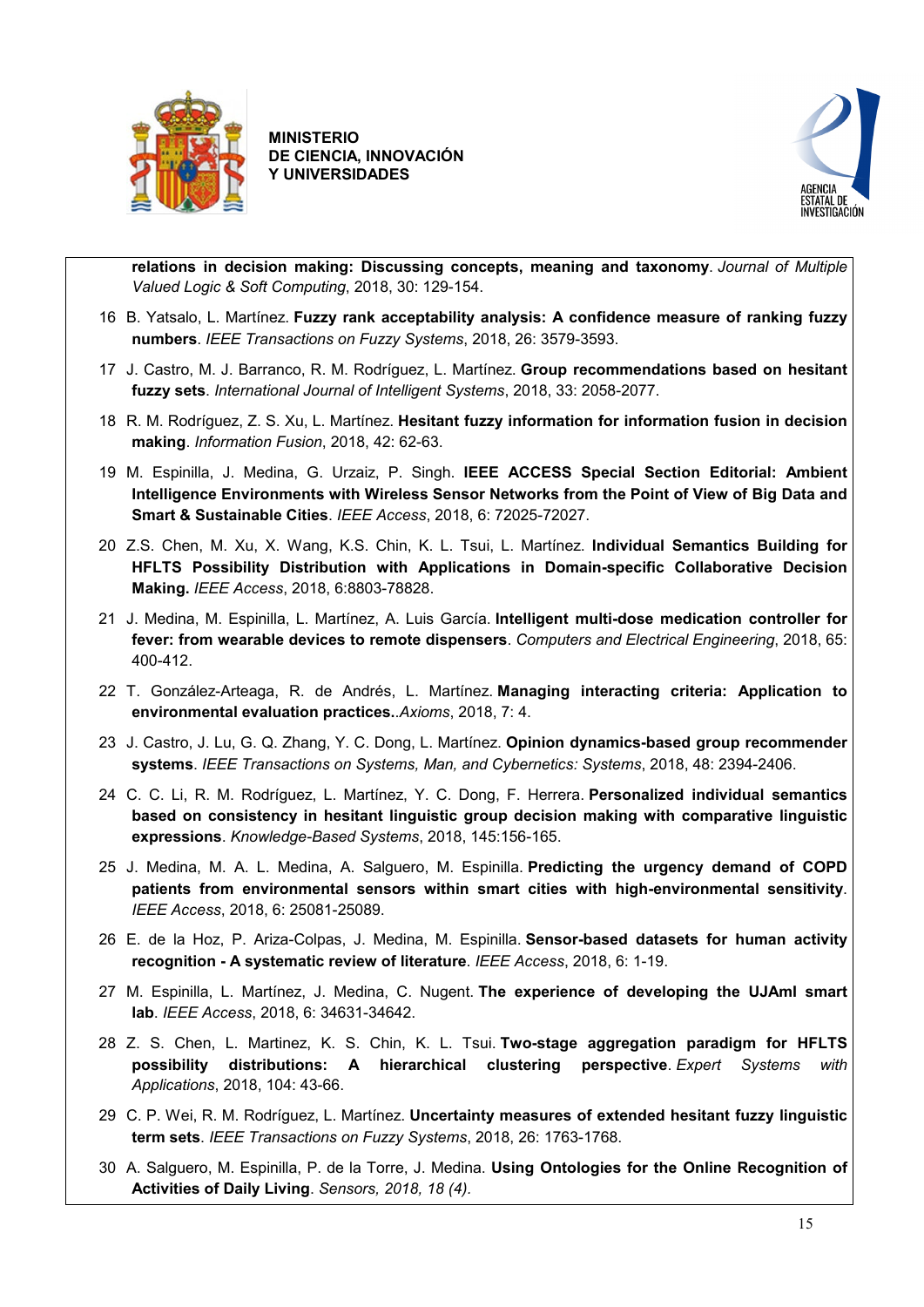



**[relations in decision making: Discussing concepts, meaning and taxonomy](https://sinbad2.ujaen.es/es/bibcite/reference/250)**. *Journal of Multiple Valued Logic & Soft Computing*, 2018, 30: 129-154.

- 16 B. Yatsalo, L. Martínez. **[Fuzzy rank acceptability analysis: A confidence measure of ranking fuzzy](https://sinbad2.ujaen.es/es/bibcite/reference/587)  [numbers](https://sinbad2.ujaen.es/es/bibcite/reference/587)**. *IEEE Transactions on Fuzzy Systems*, 2018, 26: 3579-3593.
- 17 J. Castro, M. J. Barranco, R. M. Rodríguez, L. Martínez. **[Group recommendations based on hesitant](https://sinbad2.ujaen.es/es/bibcite/reference/565)  [fuzzy sets](https://sinbad2.ujaen.es/es/bibcite/reference/565)**. *International Journal of Intelligent Systems*, 2018, 33: 2058-2077.
- 18 R. M. Rodríguez, Z. S. Xu, L. Martínez. **[Hesitant fuzzy information for information fusion in decision](https://sinbad2.ujaen.es/es/bibcite/reference/253)  [making](https://sinbad2.ujaen.es/es/bibcite/reference/253)**. *Information Fusion*, 2018, 42: 62-63.
- 19 M. Espinilla, J. Medina, G. Urzaiz, P. Singh. **[IEEE ACCESS Special Section Editorial: Ambient](https://sinbad2.ujaen.es/es/bibcite/reference/597)  [Intelligence Environments with Wireless Sensor Networks from the Point of View of Big Data and](https://sinbad2.ujaen.es/es/bibcite/reference/597)  [Smart & Sustainable Cities](https://sinbad2.ujaen.es/es/bibcite/reference/597)**. *IEEE Access*, 2018, 6: 72025-72027.
- 20 Z.S. Chen, M. Xu, X. Wang, K.S. Chin, K. L. Tsui, L. Martínez. **Individual Semantics Building for HFLTS Possibility Distribution with Applications in Domain-specific Collaborative Decision Making.** *IEEE Access*, 2018, 6:8803-78828.
- 21 J. Medina, M. Espinilla, L. Martínez, A. Luis García. **[Intelligent multi-dose medication controller for](https://sinbad2.ujaen.es/es/bibcite/reference/254)  [fever: from wearable devices to remote dispensers](https://sinbad2.ujaen.es/es/bibcite/reference/254)**. *Computers and Electrical Engineering*, 2018, 65: 400-412.
- 22 T. González-Arteaga, R. de Andrés, L. Martínez. **[Managing interacting criteria: Application to](https://sinbad2.ujaen.es/es/bibcite/reference/256)  [environmental evaluation practices.](https://sinbad2.ujaen.es/es/bibcite/reference/256)**.*Axioms*, 2018, 7: 4.
- 23 J. Castro, J. Lu, G. Q. Zhang, Y. C. Dong, L. Martínez. **[Opinion dynamics-based group recommender](https://sinbad2.ujaen.es/es/bibcite/reference/291)  [systems](https://sinbad2.ujaen.es/es/bibcite/reference/291)**. *IEEE Transactions on Systems, Man, and Cybernetics: Systems*, 2018, 48: 2394-2406.
- 24 C. C. Li, R. M. Rodríguez, L. Martínez, Y. C. Dong, F. Herrera. **[Personalized individual semantics](https://sinbad2.ujaen.es/es/bibcite/reference/259)  [based on consistency in hesitant linguistic group decision making with comparative linguistic](https://sinbad2.ujaen.es/es/bibcite/reference/259)  [expressions](https://sinbad2.ujaen.es/es/bibcite/reference/259)**. *Knowledge-Based Systems*, 2018, 145:156-165.
- 25 J. Medina, M. A. L. Medina, A. Salguero, M. Espinilla. **[Predicting the urgency demand of COPD](https://sinbad2.ujaen.es/es/bibcite/reference/570)  [patients from environmental sensors within smart cities with high-environmental sensitivity](https://sinbad2.ujaen.es/es/bibcite/reference/570)**. *IEEE Access*, 2018, 6: 25081-25089.
- 26 E. de la Hoz, P. Ariza-Colpas, J. Medina, M. Espinilla. **[Sensor-based datasets for human activity](https://sinbad2.ujaen.es/es/bibcite/reference/573)  recognition - [A systematic review of literature](https://sinbad2.ujaen.es/es/bibcite/reference/573)**. *IEEE Access*, 2018, 6: 1-19.
- 27 M. Espinilla, L. Martínez, J. Medina, C. Nugent. **[The experience of developing the UJAmI smart](https://sinbad2.ujaen.es/es/bibcite/reference/567)  [lab](https://sinbad2.ujaen.es/es/bibcite/reference/567)**. *IEEE Access*, 2018, 6: 34631-34642.
- 28 Z. S. Chen, L. Martinez, K. S. Chin, K. L. Tsui. **[Two-stage aggregation paradigm for HFLTS](https://sinbad2.ujaen.es/es/bibcite/reference/261)  [possibility distributions: A hierarchical clustering perspective](https://sinbad2.ujaen.es/es/bibcite/reference/261)**. *Expert Systems with Applications*, 2018, 104: 43-66.
- 29 C. P. Wei, R. M. Rodríguez, L. Martínez. **[Uncertainty measures of extended hesitant fuzzy linguistic](https://sinbad2.ujaen.es/es/bibcite/reference/313)  [term sets](https://sinbad2.ujaen.es/es/bibcite/reference/313)**. *IEEE Transactions on Fuzzy Systems*, 2018, 26: 1763-1768.
- 30 A. Salguero, M. Espinilla, P. de la Torre, J. Medina. **Using Ontologies for the Online Recognition of Activities of Daily Living**. *Sensors, 2018, 18 (4).*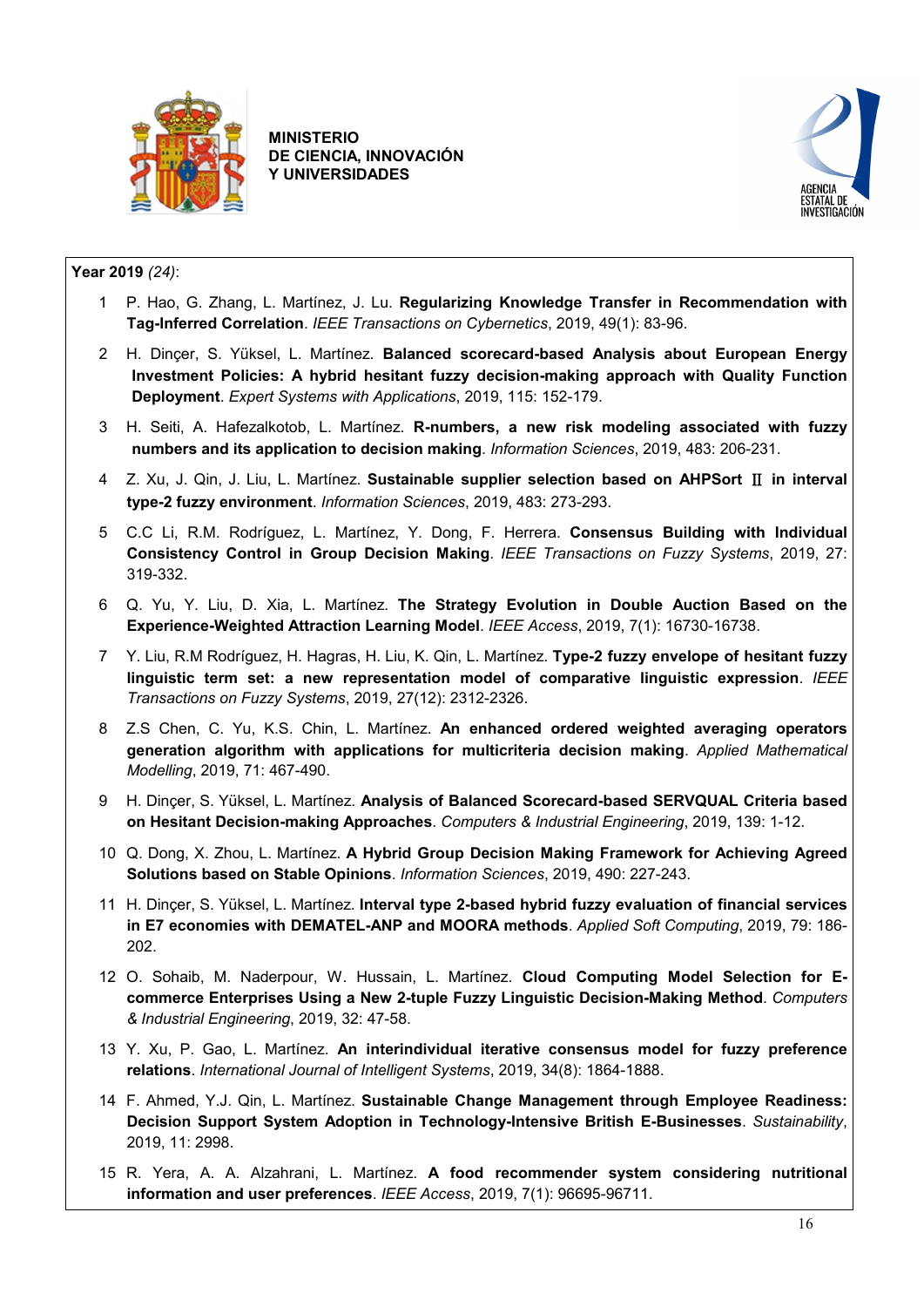



### **Year 2019** *(24)*:

- 1 P. Hao, G. Zhang, L. Martínez, J. Lu. **Regularizing Knowledge Transfer in Recommendation with Tag-Inferred Correlation**. *IEEE Transactions on Cybernetics*, 2019, 49(1): 83-96.
- 2 H. Dinçer, S. Yüksel, L. Martínez. **Balanced scorecard-based Analysis about European Energy Investment Policies: A hybrid hesitant fuzzy decision-making approach with Quality Function Deployment**. *Expert Systems with Applications*, 2019, 115: 152-179.
- 3 H. Seiti, A. Hafezalkotob, L. Martínez. **R-numbers, a new risk modeling associated with fuzzy numbers and its application to decision making**. *Information Sciences*, 2019, 483: 206-231.
- 4 Z. Xu, J. Qin, J. Liu, L. Martínez. **Sustainable supplier selection based on AHPSort** Ⅱ **in interval type-2 fuzzy environment**. *Information Sciences*, 2019, 483: 273-293.
- 5 C.C Li, R.M. Rodríguez, L. Martínez, Y. Dong, F. Herrera. **Consensus Building with Individual Consistency Control in Group Decision Making**. *IEEE Transactions on Fuzzy Systems*, 2019, 27: 319-332.
- 6 Q. Yu, Y. Liu, D. Xia, L. Martínez. **The Strategy Evolution in Double Auction Based on the Experience-Weighted Attraction Learning Model**. *IEEE Access*, 2019, 7(1): 16730-16738.
- 7 Y. Liu, R.M Rodríguez, H. Hagras, H. Liu, K. Qin, L. Martínez. **Type-2 fuzzy envelope of hesitant fuzzy linguistic term set: a new representation model of comparative linguistic expression**. *IEEE Transactions on Fuzzy Systems*, 2019, 27(12): 2312-2326.
- 8 Z.S Chen, C. Yu, K.S. Chin, L. Martínez. **An enhanced ordered weighted averaging operators generation algorithm with applications for multicriteria decision making**. *Applied Mathematical Modelling*, 2019, 71: 467-490.
- 9 H. Dinçer, S. Yüksel, L. Martínez. **Analysis of Balanced Scorecard-based SERVQUAL Criteria based on Hesitant Decision-making Approaches**. *Computers & Industrial Engineering*, 2019, 139: 1-12.
- 10 Q. Dong, X. Zhou, L. Martínez. **A Hybrid Group Decision Making Framework for Achieving Agreed Solutions based on Stable Opinions**. *Information Sciences*, 2019, 490: 227-243.
- 11 H. Dinçer, S. Yüksel, L. Martínez. **Interval type 2-based hybrid fuzzy evaluation of financial services in E7 economies with DEMATEL-ANP and MOORA methods**. *Applied Soft Computing*, 2019, 79: 186- 202.
- 12 O. Sohaib, M. Naderpour, W. Hussain, L. Martínez. **Cloud Computing Model Selection for Ecommerce Enterprises Using a New 2-tuple Fuzzy Linguistic Decision-Making Method**. *Computers & Industrial Engineering*, 2019, 32: 47-58.
- 13 Y. Xu, P. Gao, L. Martínez. **An interindividual iterative consensus model for fuzzy preference relations**. *International Journal of Intelligent Systems*, 2019, 34(8): 1864-1888.
- 14 F. Ahmed, Y.J. Qin, L. Martínez. **Sustainable Change Management through Employee Readiness: Decision Support System Adoption in Technology-Intensive British E-Businesses**. *Sustainability*, 2019, 11: 2998.
- 15 R. Yera, A. A. Alzahrani, L. Martínez. **A food recommender system considering nutritional information and user preferences**. *IEEE Access*, 2019, 7(1): 96695-96711.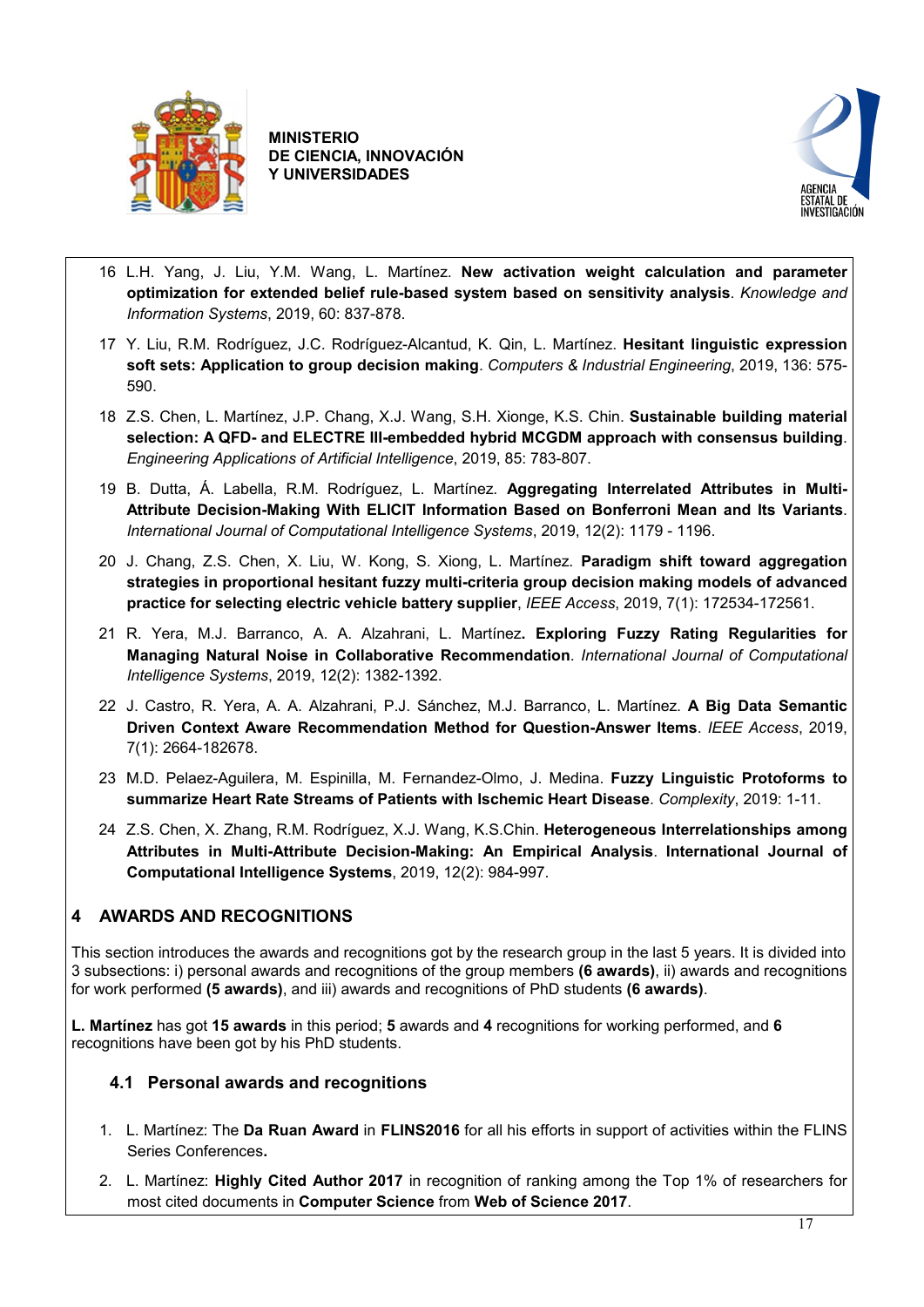



- 16 L.H. Yang, J. Liu, Y.M. Wang, L. Martínez. **New activation weight calculation and parameter optimization for extended belief rule-based system based on sensitivity analysis**. *Knowledge and Information Systems*, 2019, 60: 837-878.
- 17 Y. Liu, R.M. Rodríguez, J.C. Rodríguez-Alcantud, K. Qin, L. Martínez. **Hesitant linguistic expression soft sets: Application to group decision making**. *Computers & Industrial Engineering*, 2019, 136: 575- 590.
- 18 Z.S. Chen, L. Martínez, J.P. Chang, X.J. Wang, S.H. Xionge, K.S. Chin. **Sustainable building material selection: A QFD- and ELECTRE III-embedded hybrid MCGDM approach with consensus building**. *Engineering Applications of Artificial Intelligence*, 2019, 85: 783-807.
- 19 B. Dutta, Á. Labella, R.M. Rodríguez, L. Martínez. **Aggregating Interrelated Attributes in Multi-Attribute Decision-Making With ELICIT Information Based on Bonferroni Mean and Its Variants**. *International Journal of Computational Intelligence Systems*, 2019, 12(2): 1179 - 1196.
- 20 J. Chang, Z.S. Chen, X. Liu, W. Kong, S. Xiong, L. Martínez. **Paradigm shift toward aggregation strategies in proportional hesitant fuzzy multi-criteria group decision making models of advanced practice for selecting electric vehicle battery supplier**, *IEEE Access*, 2019, 7(1): 172534-172561.
- 21 R. Yera, M.J. Barranco, A. A. Alzahrani, L. Martínez**. Exploring Fuzzy Rating Regularities for Managing Natural Noise in Collaborative Recommendation**. *International Journal of Computational Intelligence Systems*, 2019, 12(2): 1382-1392.
- 22 J. Castro, R. Yera, A. A. Alzahrani, P.J. Sánchez, M.J. Barranco, L. Martínez. **A Big Data Semantic Driven Context Aware Recommendation Method for Question-Answer Items**. *IEEE Access*, 2019, 7(1): 2664-182678.
- 23 M.D. Pelaez-Aguilera, M. Espinilla, M. Fernandez-Olmo, J. Medina. **Fuzzy Linguistic Protoforms to summarize Heart Rate Streams of Patients with Ischemic Heart Disease**. *Complexity*, 2019: 1-11.
- 24 Z.S. Chen, X. Zhang, R.M. Rodríguez, X.J. Wang, K.S.Chin. **Heterogeneous Interrelationships among Attributes in Multi-Attribute Decision-Making: An Empirical Analysis**. **International Journal of Computational Intelligence Systems**, 2019, 12(2): 984-997.

## <span id="page-16-0"></span>**4 AWARDS AND RECOGNITIONS**

This section introduces the awards and recognitions got by the research group in the last 5 years. It is divided into 3 subsections: i) personal awards and recognitions of the group members **(6 awards)**, ii) awards and recognitions for work performed **(5 awards)**, and iii) awards and recognitions of PhD students **(6 awards)**.

**L. Martínez** has got **15 awards** in this period; **5** awards and **4** recognitions for working performed, and **6** recognitions have been got by his PhD students.

## <span id="page-16-1"></span>**4.1 Personal awards and recognitions**

- 1. L. Martínez: The **Da Ruan Award** in **FLINS2016** for all his efforts in support of activities within the FLINS Series Conferences**.**
- 2. L. Martínez: **Highly Cited Author 2017** in recognition of ranking among the Top 1% of researchers for most cited documents in **Computer Science** from **Web of Science 2017**.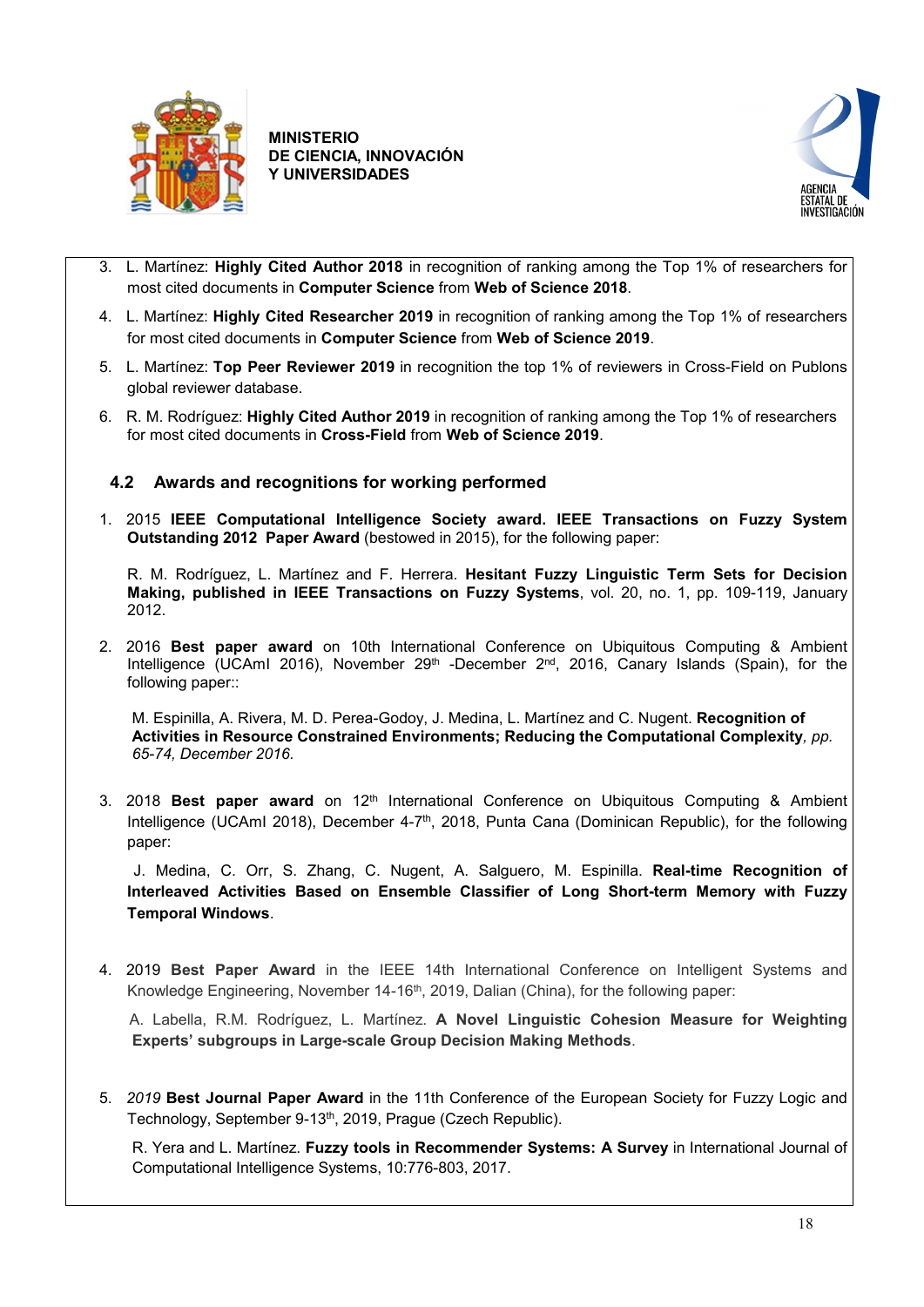



- 3. L. Martínez: **Highly Cited Author 2018** in recognition of ranking among the Top 1% of researchers for most cited documents in **Computer Science** from **Web of Science 2018**.
- 4. L. Martínez: **Highly Cited Researcher 2019** in recognition of ranking among the Top 1% of researchers for most cited documents in **Computer Science** from **Web of Science 2019**.
- 5. L. Martínez: **Top Peer Reviewer 2019** in recognition the top 1% of reviewers in Cross-Field on Publons global reviewer database.
- 6. R. M. Rodríguez: **Highly Cited Author 2019** in recognition of ranking among the Top 1% of researchers for most cited documents in **Cross-Field** from **Web of Science 2019**.

## <span id="page-17-0"></span>**4.2 Awards and recognitions for working performed**

1. 2015 **IEEE Computational Intelligence Society award. IEEE Transactions on Fuzzy System Outstanding 2012 Paper Award** (bestowed in 2015), for the following paper:

R. M. Rodríguez, L. Martínez and F. Herrera. **Hesitant Fuzzy Linguistic Term Sets for Decision Making, published in IEEE Transactions on Fuzzy Systems**, vol. 20, no. 1, pp. 109-119, January 2012.

2. 2016 **Best paper award** on 10th International Conference on Ubiquitous Computing & Ambient Intelligence (UCAmI 2016), November 29<sup>th</sup> -December 2<sup>nd</sup>, 2016, Canary Islands (Spain), for the following paper::

M. Espinilla, A. Rivera, M. D. Perea-Godoy, J. Medina, L. Martínez and C. Nugent. **Recognition of Activities in Resource Constrained Environments; Reducing the Computational Complexity***, pp. 65-74, December 2016.*

3. 2018 **Best paper award** on 12<sup>th</sup> International Conference on Ubiquitous Computing & Ambient Intelligence (UCAmI 2018), December 4-7<sup>th</sup>, 2018, Punta Cana (Dominican Republic), for the following paper:

 J. Medina, C. Orr, S. Zhang, C. Nugent, A. Salguero, M. Espinilla. **Real-time Recognition of Interleaved Activities Based on Ensemble Classifier of Long Short-term Memory with Fuzzy Temporal Windows**.

4. 2019 **Best Paper Award** in the IEEE 14th International Conference on Intelligent Systems and Knowledge Engineering, November 14-16th, 2019, Dalian (China), for the following paper:

 A. Labella, R.M. Rodríguez, L. Martínez. **A Novel Linguistic Cohesion Measure for Weighting Experts' subgroups in Large-scale Group Decision Making Methods**.

5. *2019* **Best Journal Paper Award** in the 11th Conference of the European Society for Fuzzy Logic and Technology, September 9-13<sup>th</sup>, 2019, Prague (Czech Republic).

R. Yera and L. Martínez. **Fuzzy tools in Recommender Systems: A Survey** in International Journal of Computational Intelligence Systems, 10:776-803, 2017.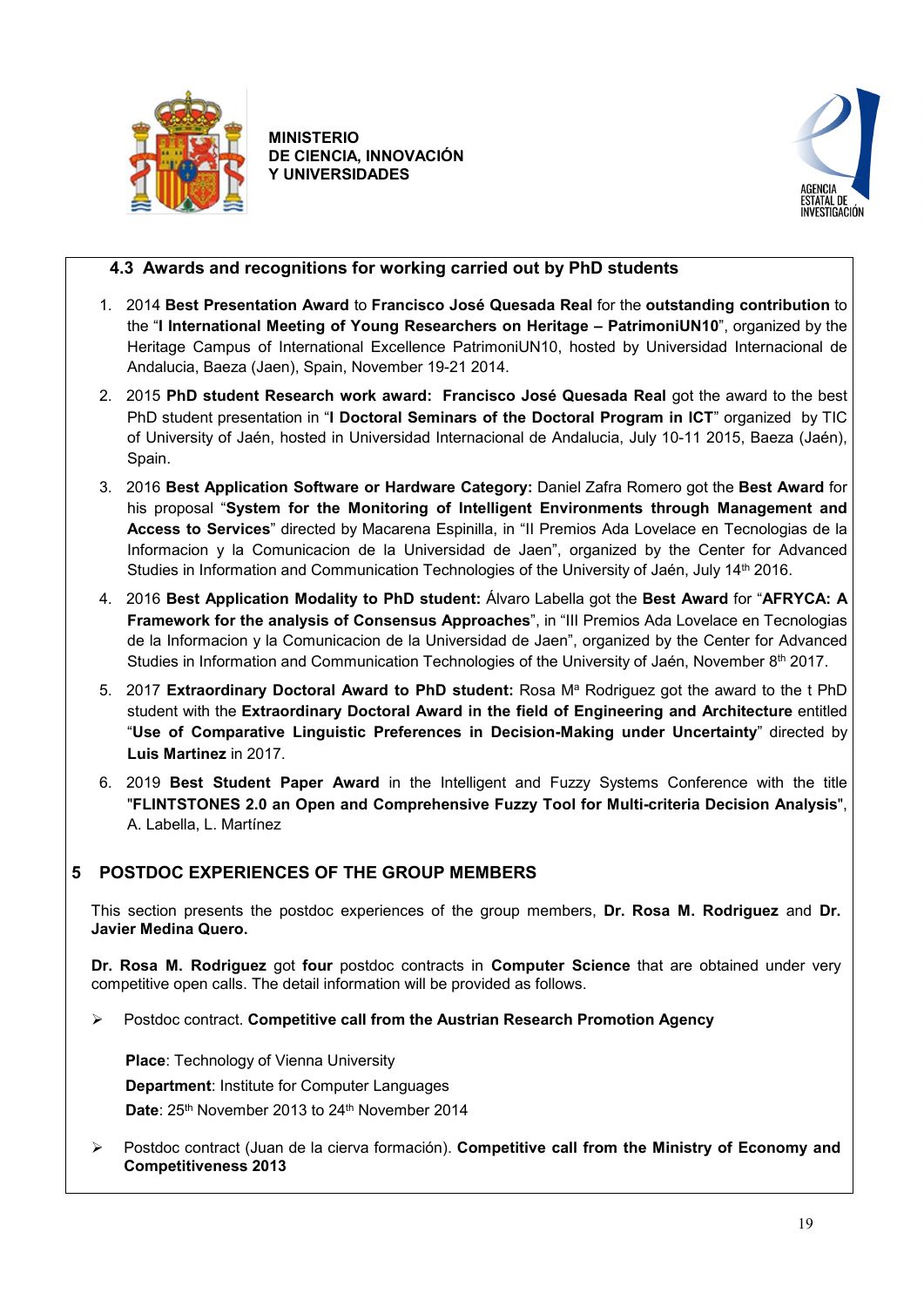



## <span id="page-18-0"></span>**4.3 Awards and recognitions for working carried out by PhD students**

- 1. 2014 **Best Presentation Award** to **[Francisco José Quesada Real](https://sinbad2.ujaen.es/index.php/es/users/fqreal)** for the **outstanding contribution** to the "**I International Meeting of Young Researchers on Heritage – PatrimoniUN10**", organized by the Heritage Campus of International Excellence PatrimoniUN10, hosted by Universidad Internacional de Andalucia, Baeza (Jaen), Spain, November 19-21 2014.
- 2. 2015 **PhD student Research work award: [Francisco José Quesada Real](https://sinbad2.ujaen.es/index.php/es/users/fqreal)** got the award to the best PhD student presentation in "**I Doctoral Seminars of the Doctoral Program in ICT**" organized by TIC of University of Jaén, hosted in Universidad Internacional de Andalucia, July 10-11 2015, Baeza (Jaén), Spain.
- 3. 2016 **Best Application Software or Hardware Category:** Daniel Zafra Romero got the **Best Award** for his proposal "**System for the Monitoring of Intelligent Environments through Management and Access to Services**" directed by Macarena Espinilla, in "II Premios Ada Lovelace en Tecnologias de la Informacion y la Comunicacion de la Universidad de Jaen", organized by the Center for Advanced Studies in Information and Communication Technologies of the University of Jaén, July 14th 2016.
- 4. 2016 **Best Application Modality to PhD student:** Álvaro Labella got the **Best Award** for "**AFRYCA: A Framework for the analysis of Consensus Approaches**", in "III Premios Ada Lovelace en Tecnologias de la Informacion y la Comunicacion de la Universidad de Jaen", organized by the Center for Advanced Studies in Information and Communication Technologies of the University of Jaén, November 8<sup>th</sup> 2017.
- 5. 2017 **Extraordinary Doctoral Award to PhD student:** Rosa M<sup>a</sup> Rodriguez got the award to the t PhD student with the **Extraordinary Doctoral Award in the field of Engineering and Architecture** entitled "**Use of Comparative Linguistic Preferences in Decision-Making under Uncertainty**" directed by **Luis Martinez** in 2017.
- 6. 2019 **Best Student Paper Award** in the Intelligent and Fuzzy Systems Conference with the title "**FLINTSTONES 2.0 an Open and Comprehensive Fuzzy Tool for Multi-criteria Decision Analysis**", A. Labella, L. Martínez

## <span id="page-18-1"></span>**5 POSTDOC EXPERIENCES OF THE GROUP MEMBERS**

This section presents the postdoc experiences of the group members, **Dr. Rosa M. Rodriguez** and **Dr. Javier Medina Quero.** 

**Dr. Rosa M. Rodriguez** got **four** postdoc contracts in **Computer Science** that are obtained under very competitive open calls. The detail information will be provided as follows.

Postdoc contract. **Competitive call from the Austrian Research Promotion Agency**

 **Place**: Technology of Vienna University **Department**: Institute for Computer Languages Date: 25<sup>th</sup> November 2013 to 24<sup>th</sup> November 2014

 Postdoc contract (Juan de la cierva formación). **Competitive call from the Ministry of Economy and Competitiveness 2013**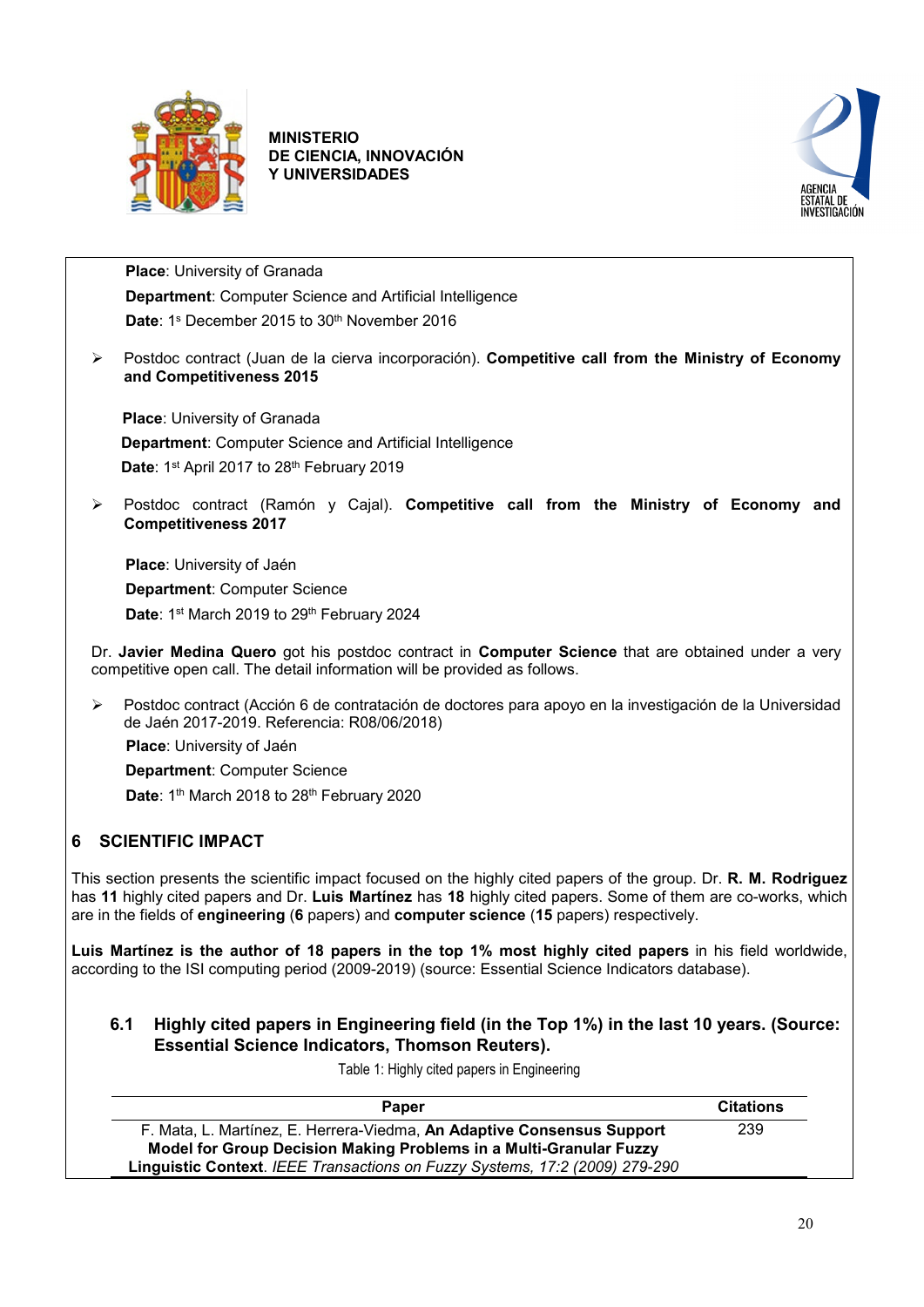



 **Place**: University of Granada **Department**: Computer Science and Artificial Intelligence Date: 1<sup>s</sup> December 2015 to 30<sup>th</sup> November 2016

 Postdoc contract (Juan de la cierva incorporación). **Competitive call from the Ministry of Economy and Competitiveness 2015**

**Place**: University of Granada **Department**: Computer Science and Artificial Intelligence Date: 1st April 2017 to 28<sup>th</sup> February 2019

 Postdoc contract (Ramón y Cajal). **Competitive call from the Ministry of Economy and Competitiveness 2017**

 **Place**: University of Jaén **Department**: Computer Science Date: 1<sup>st</sup> March 2019 to 29<sup>th</sup> February 2024

Dr. **Javier Medina Quero** got his postdoc contract in **Computer Science** that are obtained under a very competitive open call. The detail information will be provided as follows.

 Postdoc contract (Acción 6 de contratación de doctores para apoyo en la investigación de la Universidad de Jaén 2017-2019. Referencia: R08/06/2018)

**Place**: University of Jaén

 **Department**: Computer Science Date: 1<sup>th</sup> March 2018 to 28<sup>th</sup> February 2020

## <span id="page-19-0"></span>**6 SCIENTIFIC IMPACT**

This section presents the scientific impact focused on the highly cited papers of the group. Dr. **R. M. Rodriguez** has **11** highly cited papers and Dr. **Luis Martínez** has **18** highly cited papers. Some of them are co-works, which are in the fields of **engineering** (**6** papers) and **computer science** (**15** papers) respectively.

**Luis Martínez is the author of 18 papers in the top 1% most highly cited papers** in his field worldwide, according to the ISI computing period (2009-2019) (source: Essential Science Indicators database).

<span id="page-19-1"></span>**6.1 Highly cited papers in Engineering field (in the Top 1%) in the last 10 years. (Source: Essential Science Indicators, Thomson Reuters).** 

Table 1: Highly cited papers in Engineering

| <b>Paper</b>                                                                | <b>Citations</b> |
|-----------------------------------------------------------------------------|------------------|
| F. Mata, L. Martínez, E. Herrera-Viedma, An Adaptive Consensus Support      | 239              |
| Model for Group Decision Making Problems in a Multi-Granular Fuzzy          |                  |
| Linguistic Context. IEEE Transactions on Fuzzy Systems, 17:2 (2009) 279-290 |                  |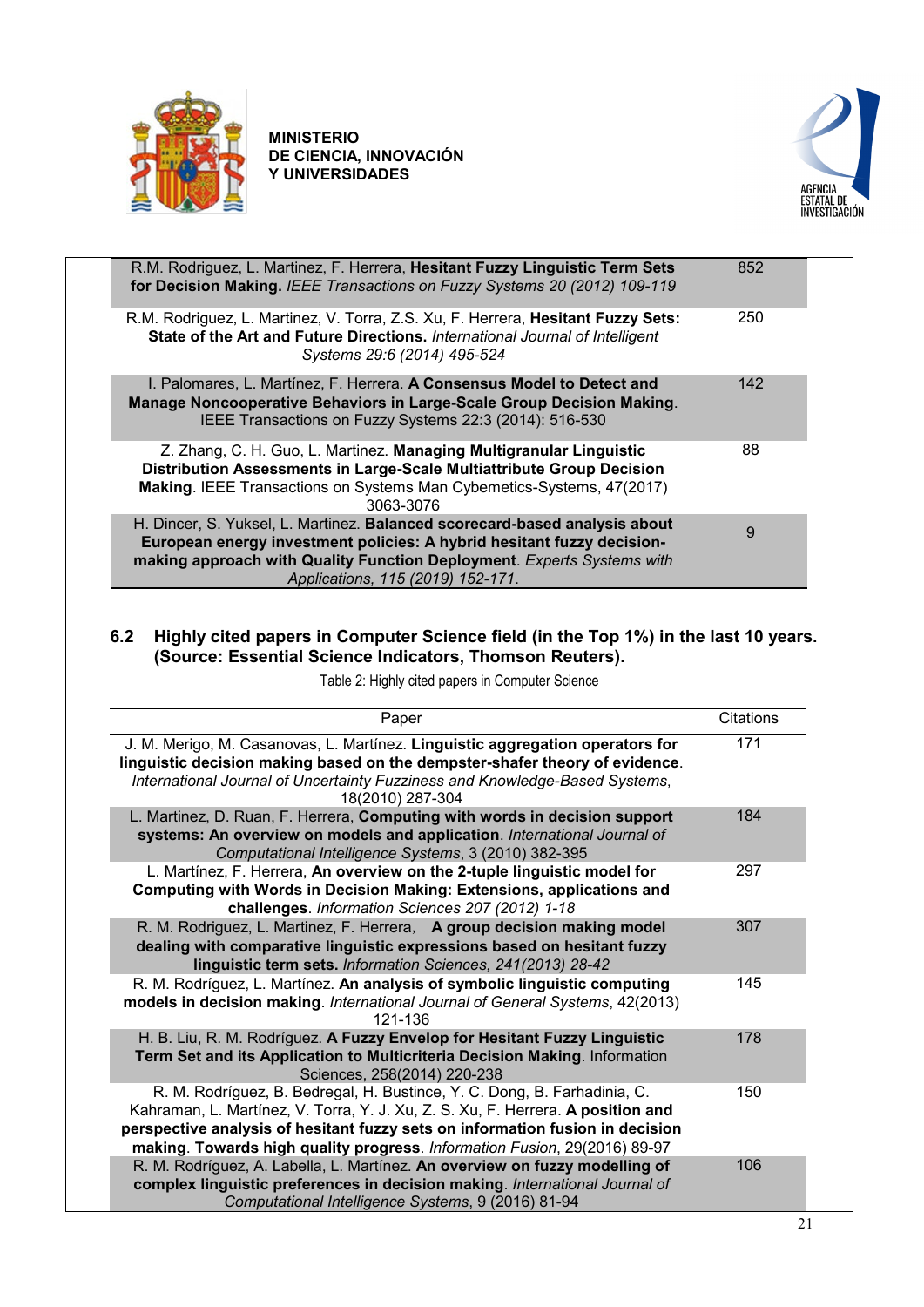



| R.M. Rodriguez, L. Martinez, F. Herrera, Hesitant Fuzzy Linguistic Term Sets<br>for Decision Making. IEEE Transactions on Fuzzy Systems 20 (2012) 109-119                                                                                                           | 852 |
|---------------------------------------------------------------------------------------------------------------------------------------------------------------------------------------------------------------------------------------------------------------------|-----|
| R.M. Rodriguez, L. Martinez, V. Torra, Z.S. Xu, F. Herrera, Hesitant Fuzzy Sets:<br>State of the Art and Future Directions. International Journal of Intelligent<br>Systems 29:6 (2014) 495-524                                                                     | 250 |
| I. Palomares, L. Martínez, F. Herrera. A Consensus Model to Detect and<br>Manage Noncooperative Behaviors in Large-Scale Group Decision Making.<br>IEEE Transactions on Fuzzy Systems 22:3 (2014): 516-530                                                          | 142 |
| Z. Zhang, C. H. Guo, L. Martinez. Managing Multigranular Linguistic<br>Distribution Assessments in Large-Scale Multiattribute Group Decision<br>Making. IEEE Transactions on Systems Man Cybemetics-Systems, 47(2017)<br>3063-3076                                  | 88  |
| H. Dincer, S. Yuksel, L. Martinez. Balanced scorecard-based analysis about<br>European energy investment policies: A hybrid hesitant fuzzy decision-<br>making approach with Quality Function Deployment. Experts Systems with<br>Applications, 115 (2019) 152-171. | 9   |

## <span id="page-20-0"></span>**6.2 Highly cited papers in Computer Science field (in the Top 1%) in the last 10 years. (Source: Essential Science Indicators, Thomson Reuters).**

| Paper                                                                                                                                                                                                                                                                                                                     | Citations |
|---------------------------------------------------------------------------------------------------------------------------------------------------------------------------------------------------------------------------------------------------------------------------------------------------------------------------|-----------|
| J. M. Merigo, M. Casanovas, L. Martínez. Linguistic aggregation operators for<br>linguistic decision making based on the dempster-shafer theory of evidence.<br>International Journal of Uncertainty Fuzziness and Knowledge-Based Systems,<br>18(2010) 287-304                                                           | 171       |
| L. Martinez, D. Ruan, F. Herrera, Computing with words in decision support<br>systems: An overview on models and application. International Journal of<br>Computational Intelligence Systems, 3 (2010) 382-395                                                                                                            | 184       |
| L. Martínez, F. Herrera, An overview on the 2-tuple linguistic model for<br>Computing with Words in Decision Making: Extensions, applications and<br>challenges. Information Sciences 207 (2012) 1-18                                                                                                                     | 297       |
| R. M. Rodriguez, L. Martinez, F. Herrera, A group decision making model<br>dealing with comparative linguistic expressions based on hesitant fuzzy<br>linguistic term sets. Information Sciences, 241(2013) 28-42                                                                                                         | 307       |
| R. M. Rodríguez, L. Martínez. An analysis of symbolic linguistic computing<br>models in decision making. International Journal of General Systems, 42(2013)<br>121-136                                                                                                                                                    | 145       |
| H. B. Liu, R. M. Rodríguez. A Fuzzy Envelop for Hesitant Fuzzy Linguistic<br>Term Set and its Application to Multicriteria Decision Making. Information<br>Sciences, 258(2014) 220-238                                                                                                                                    | 178       |
| R. M. Rodríguez, B. Bedregal, H. Bustince, Y. C. Dong, B. Farhadinia, C.<br>Kahraman, L. Martínez, V. Torra, Y. J. Xu, Z. S. Xu, F. Herrera. A position and<br>perspective analysis of hesitant fuzzy sets on information fusion in decision<br>making. Towards high quality progress. Information Fusion, 29(2016) 89-97 | 150       |
| R. M. Rodríguez, A. Labella, L. Martínez. An overview on fuzzy modelling of<br>complex linguistic preferences in decision making. International Journal of<br>Computational Intelligence Systems, 9 (2016) 81-94                                                                                                          | 106       |

Table 2: Highly cited papers in Computer Science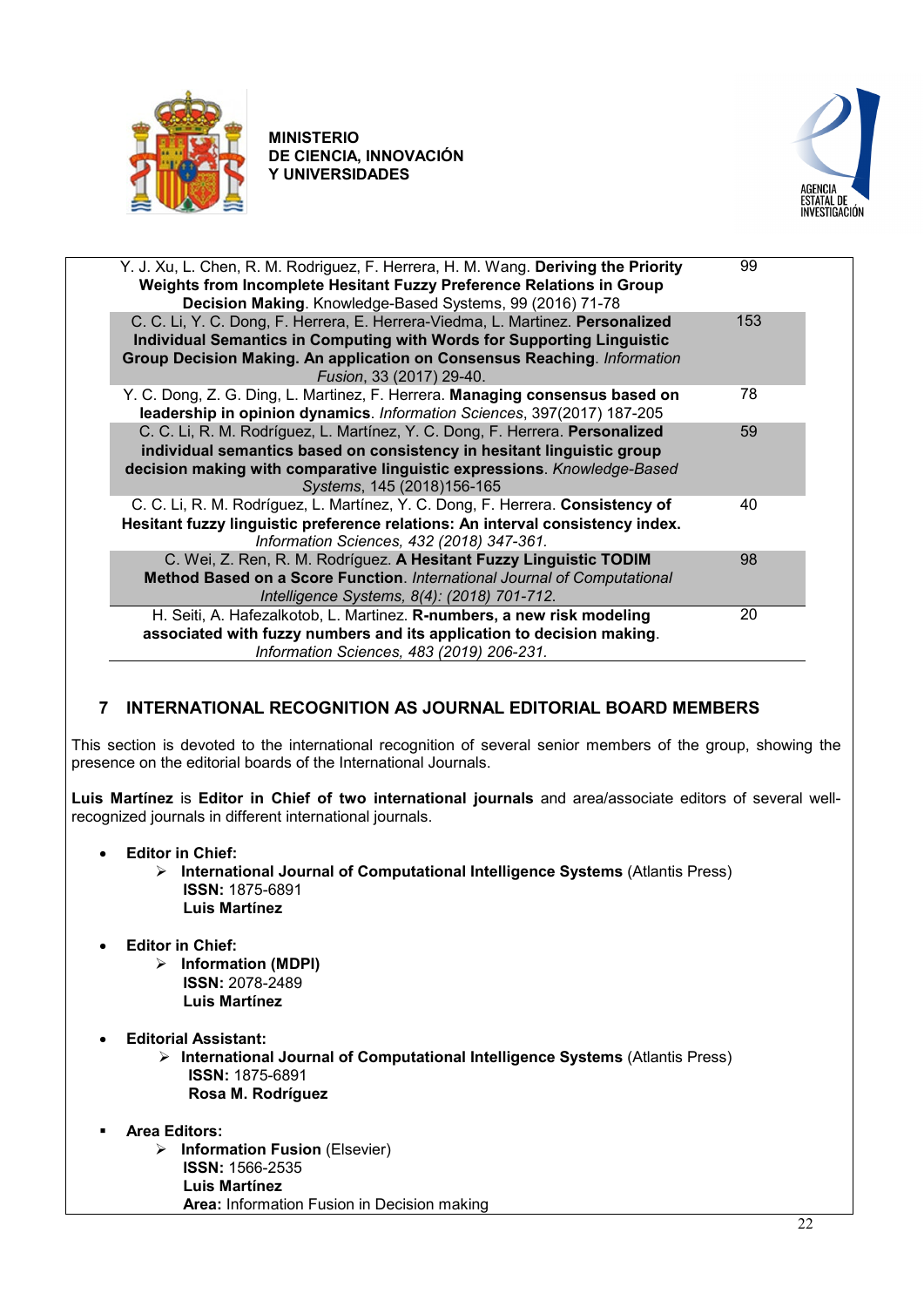



| Y. J. Xu, L. Chen, R. M. Rodriguez, F. Herrera, H. M. Wang. Deriving the Priority<br>Weights from Incomplete Hesitant Fuzzy Preference Relations in Group | 99  |
|-----------------------------------------------------------------------------------------------------------------------------------------------------------|-----|
| Decision Making. Knowledge-Based Systems, 99 (2016) 71-78                                                                                                 |     |
| C. C. Li, Y. C. Dong, F. Herrera, E. Herrera-Viedma, L. Martinez. Personalized                                                                            | 153 |
| Individual Semantics in Computing with Words for Supporting Linguistic                                                                                    |     |
| Group Decision Making. An application on Consensus Reaching. Information<br>Fusion, 33 (2017) 29-40.                                                      |     |
| Y. C. Dong, Z. G. Ding, L. Martinez, F. Herrera. Managing consensus based on<br>leadership in opinion dynamics. Information Sciences, 397(2017) 187-205   | 78  |
| C. C. Li, R. M. Rodríguez, L. Martínez, Y. C. Dong, F. Herrera. Personalized<br>individual semantics based on consistency in hesitant linguistic group    | 59  |
| decision making with comparative linguistic expressions. Knowledge-Based<br>Systems, 145 (2018)156-165                                                    |     |
| C. C. Li, R. M. Rodríguez, L. Martínez, Y. C. Dong, F. Herrera. Consistency of                                                                            | 40  |
| Hesitant fuzzy linguistic preference relations: An interval consistency index.                                                                            |     |
| Information Sciences, 432 (2018) 347-361.                                                                                                                 |     |
| C. Wei, Z. Ren, R. M. Rodríguez. A Hesitant Fuzzy Linguistic TODIM                                                                                        | 98  |
| Method Based on a Score Function. International Journal of Computational                                                                                  |     |
| Intelligence Systems, 8(4): (2018) 701-712.                                                                                                               |     |
| H. Seiti, A. Hafezalkotob, L. Martinez. R-numbers, a new risk modeling                                                                                    | 20  |
| associated with fuzzy numbers and its application to decision making.                                                                                     |     |
| Information Sciences, 483 (2019) 206-231.                                                                                                                 |     |
|                                                                                                                                                           |     |

## <span id="page-21-0"></span>**7 INTERNATIONAL RECOGNITION AS JOURNAL EDITORIAL BOARD MEMBERS**

This section is devoted to the international recognition of several senior members of the group, showing the presence on the editorial boards of the International Journals.

**Luis Martínez** is **Editor in Chief of two international journals** and area/associate editors of several wellrecognized journals in different international journals.

- **Editor in Chief:**
	- **International Journal of Computational Intelligence Systems** (Atlantis Press) **ISSN:** 1875-6891 **Luis Martínez**
- **Editor in Chief:**
	- **Information (MDPI) ISSN:** 2078-2489 **Luis Martínez**
- **Editorial Assistant:**
	- **International Journal of Computational Intelligence Systems** (Atlantis Press) **ISSN:** 1875-6891 **Rosa M. Rodríguez**
- **Area Editors:**
	- **Information Fusion** (Elsevier) **ISSN:** 1566-2535 **Luis Martínez Area:** Information Fusion in Decision making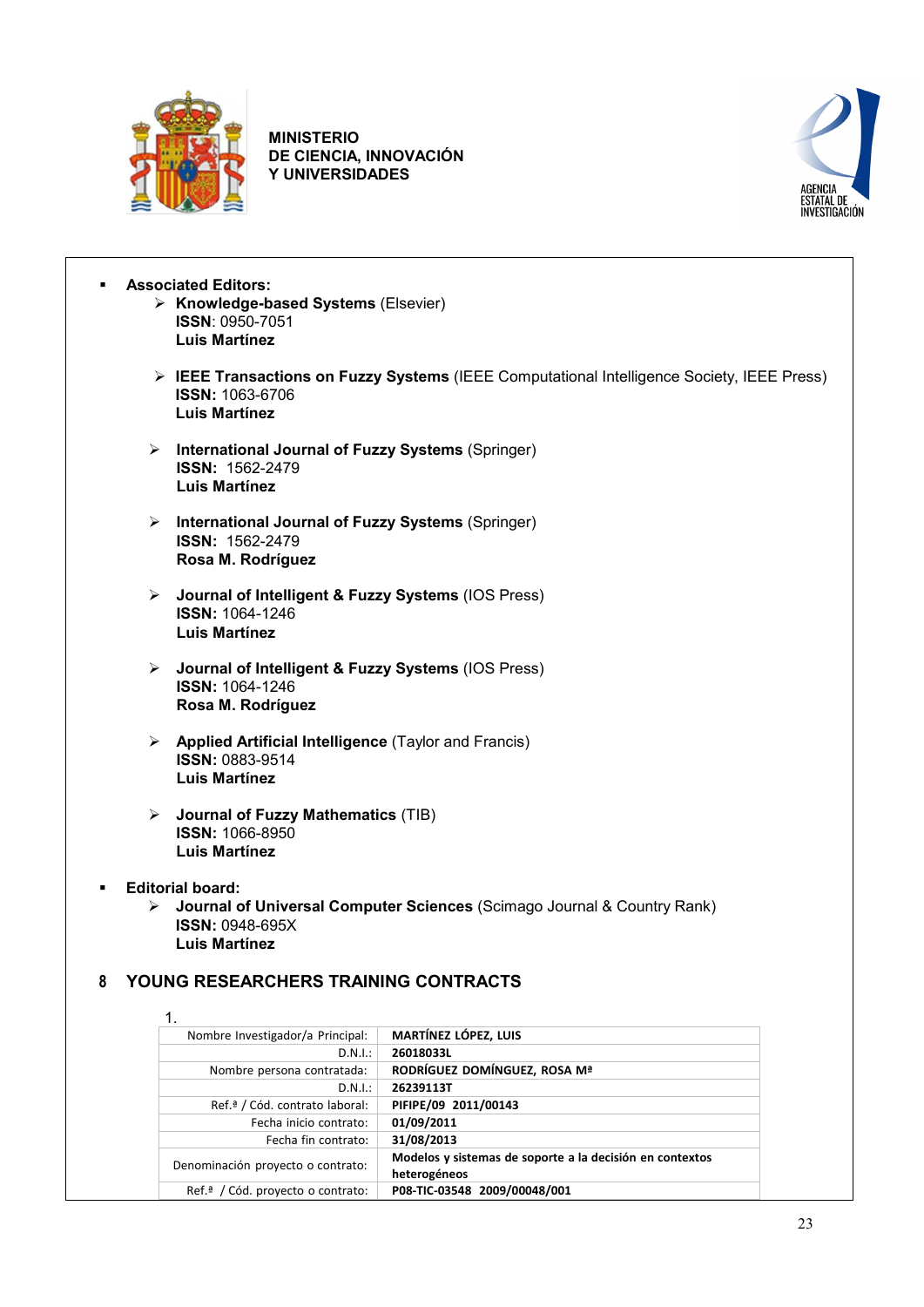



 **Associated Editors: Knowledge-based Systems** (Elsevier)

- **ISSN**: 0950-7051 **Luis Martínez**
- **IEEE Transactions on Fuzzy Systems** (IEEE Computational Intelligence Society, IEEE Press) **ISSN:** 1063-6706 **Luis Martínez**
- **International Journal of Fuzzy Systems** (Springer) **ISSN:** 1562-2479 **Luis Martínez**
- **International Journal of Fuzzy Systems** (Springer) **ISSN:** 1562-2479 **Rosa M. Rodríguez**
- **Journal of Intelligent & Fuzzy Systems** (IOS Press) **ISSN:** 1064-1246 **Luis Martínez**
- **Journal of Intelligent & Fuzzy Systems** (IOS Press) **ISSN:** 1064-1246 **Rosa M. Rodríguez**
- **Applied Artificial Intelligence** (Taylor and Francis) **ISSN:** 0883-9514 **Luis Martínez**
- **Journal of Fuzzy Mathematics** (TIB) **ISSN:** 1066-8950 **Luis Martínez**
- **Editorial board:**
	- **Journal of Universal Computer Sciences** (Scimago Journal & Country Rank) **ISSN:** 0948-695X **Luis Martínez**

## <span id="page-22-0"></span>**8 YOUNG RESEARCHERS TRAINING CONTRACTS**

| Nombre Investigador/a Principal:              | <b>MARTÍNEZ LÓPEZ, LUIS</b>                              |
|-----------------------------------------------|----------------------------------------------------------|
| D.N.I.:                                       | 26018033L                                                |
| Nombre persona contratada:                    | RODRÍGUEZ DOMÍNGUEZ, ROSA Mª                             |
| D.N.I.:                                       | 26239113T                                                |
| Ref. <sup>ª</sup> / Cód. contrato laboral:    | PIFIPE/09 2011/00143                                     |
| Fecha inicio contrato:                        | 01/09/2011                                               |
| Fecha fin contrato:                           | 31/08/2013                                               |
| Denominación proyecto o contrato:             | Modelos y sistemas de soporte a la decisión en contextos |
|                                               | heterogéneos                                             |
| Ref. <sup>a</sup> / Cód. proyecto o contrato: | P08-TIC-03548 2009/00048/001                             |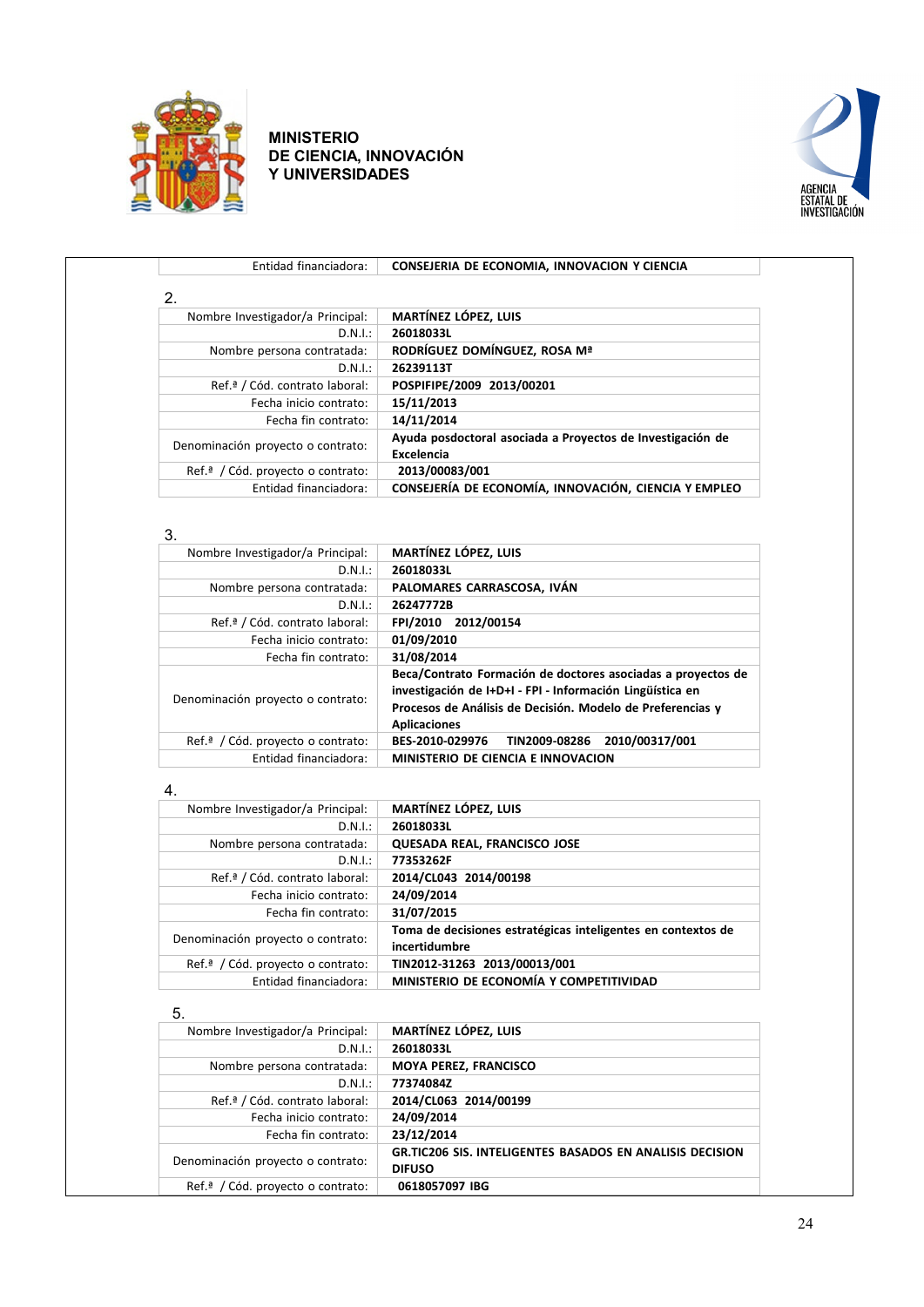



| Entidad financiadora:                         | CONSEJERIA DE ECONOMIA, INNOVACION Y CIENCIA                             |
|-----------------------------------------------|--------------------------------------------------------------------------|
| 2.                                            |                                                                          |
| Nombre Investigador/a Principal:              | <b>MARTÍNEZ LÓPEZ. LUIS</b>                                              |
| D.N.I.:                                       | 26018033L                                                                |
| Nombre persona contratada:                    | RODRÍGUEZ DOMÍNGUEZ. ROSA Mª                                             |
| D.N.I.:                                       | 26239113T                                                                |
| Ref. <sup>ª</sup> / Cód. contrato laboral:    | POSPIFIPE/2009 2013/00201                                                |
| Fecha inicio contrato:                        | 15/11/2013                                                               |
| Fecha fin contrato:                           | 14/11/2014                                                               |
| Denominación proyecto o contrato:             | Ayuda posdoctoral asociada a Proyectos de Investigación de<br>Excelencia |
| Ref. <sup>a</sup> / Cód. proyecto o contrato: | 2013/00083/001                                                           |
| Entidad financiadora:                         | CONSEJERÍA DE ECONOMÍA, INNOVACIÓN, CIENCIA Y EMPLEO                     |

#### 3.

| <b>MARTÍNEZ LÓPEZ, LUIS</b>                                                                                                                                                                                    |
|----------------------------------------------------------------------------------------------------------------------------------------------------------------------------------------------------------------|
| 26018033L                                                                                                                                                                                                      |
| PALOMARES CARRASCOSA, IVÁN                                                                                                                                                                                     |
| 26247772B                                                                                                                                                                                                      |
| FPI/2010 2012/00154                                                                                                                                                                                            |
| 01/09/2010                                                                                                                                                                                                     |
| 31/08/2014                                                                                                                                                                                                     |
| Beca/Contrato Formación de doctores asociadas a proyectos de<br>investigación de I+D+I - FPI - Información Lingüística en<br>Procesos de Análisis de Decisión. Modelo de Preferencias y<br><b>Aplicaciones</b> |
| 2010/00317/001<br>BES-2010-029976<br>TIN2009-08286                                                                                                                                                             |
| MINISTERIO DE CIENCIA E INNOVACION                                                                                                                                                                             |
|                                                                                                                                                                                                                |

#### 4.

| Nombre Investigador/a Principal:              | <b>MARTÍNEZ LÓPEZ, LUIS</b>                                                   |
|-----------------------------------------------|-------------------------------------------------------------------------------|
| D.N.I.:                                       | 26018033L                                                                     |
| Nombre persona contratada:                    | <b>QUESADA REAL, FRANCISCO JOSE</b>                                           |
| D.N.I.:                                       | 77353262F                                                                     |
| Ref. <sup>ª</sup> / Cód. contrato laboral:    | 2014/CL043 2014/00198                                                         |
| Fecha inicio contrato:                        | 24/09/2014                                                                    |
| Fecha fin contrato:                           | 31/07/2015                                                                    |
| Denominación proyecto o contrato:             | Toma de decisiones estratégicas inteligentes en contextos de<br>incertidumbre |
| Ref. <sup>a</sup> / Cód. proyecto o contrato: | TIN2012-31263 2013/00013/001                                                  |
| Entidad financiadora:                         | MINISTERIO DE ECONOMÍA Y COMPETITIVIDAD                                       |

#### 5.

| Nombre Investigador/a Principal:              | <b>MARTÍNEZ LÓPEZ. LUIS</b>                                     |
|-----------------------------------------------|-----------------------------------------------------------------|
| D.N.I.:                                       | 26018033L                                                       |
| Nombre persona contratada:                    | <b>MOYA PEREZ, FRANCISCO</b>                                    |
| D.N.I.:                                       | 77374084Z                                                       |
| Ref. <sup>ª</sup> / Cód. contrato laboral:    | 2014/CL063 2014/00199                                           |
| Fecha inicio contrato:                        | 24/09/2014                                                      |
| Fecha fin contrato:                           | 23/12/2014                                                      |
| Denominación proyecto o contrato:             | <b>GR.TIC206 SIS. INTELIGENTES BASADOS EN ANALISIS DECISION</b> |
|                                               | <b>DIFUSO</b>                                                   |
| Ref. <sup>ª</sup> / Cód. proyecto o contrato: | 0618057097 IBG                                                  |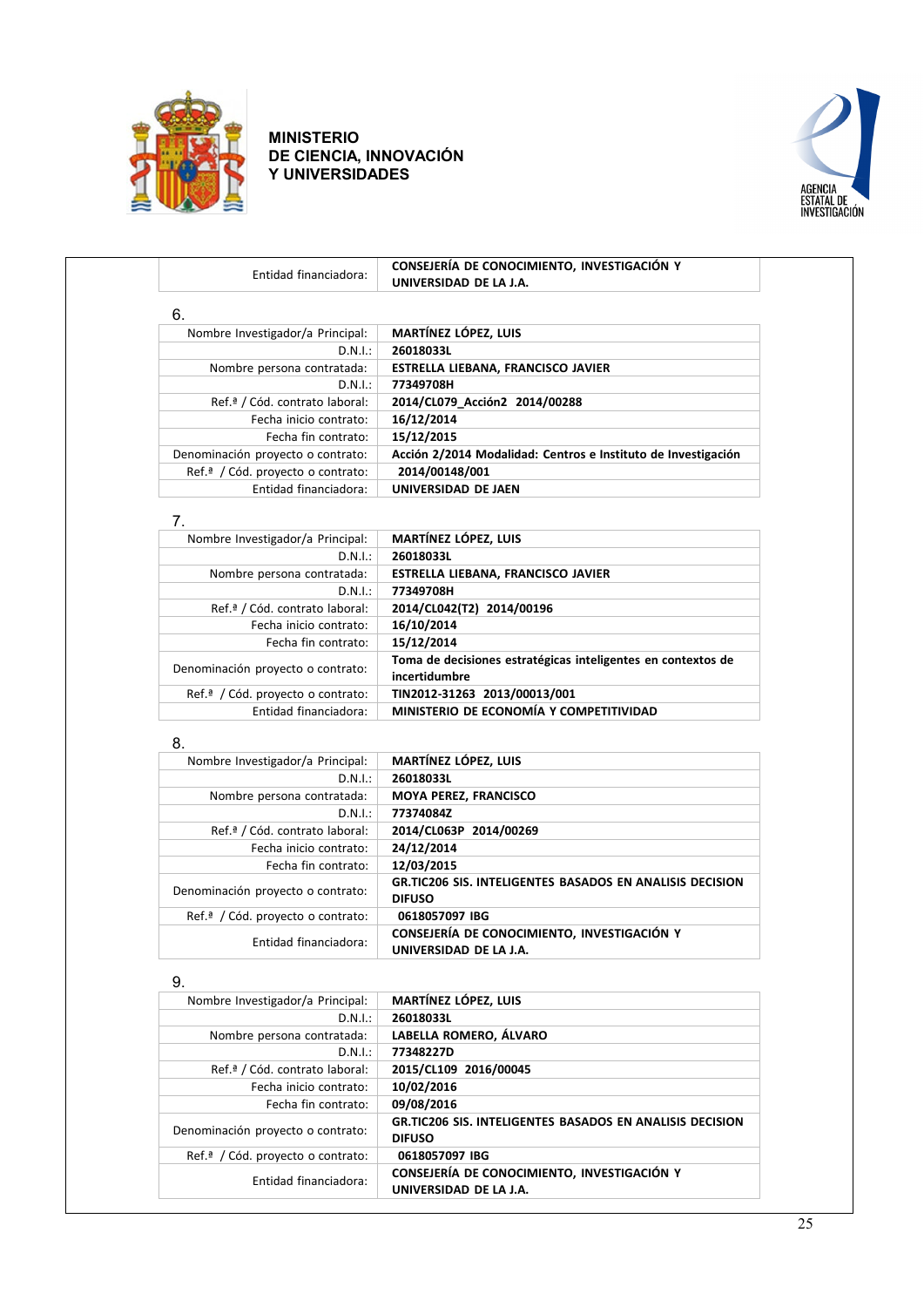



| Entidad financiadora:                         | CONSEJERÍA DE CONOCIMIENTO, INVESTIGACIÓN Y                                   |
|-----------------------------------------------|-------------------------------------------------------------------------------|
|                                               | UNIVERSIDAD DE LA J.A.                                                        |
| 6.                                            |                                                                               |
| Nombre Investigador/a Principal:              | MARTÍNEZ LÓPEZ, LUIS                                                          |
| D.N.I.:                                       | 26018033L                                                                     |
| Nombre persona contratada:                    | ESTRELLA LIEBANA, FRANCISCO JAVIER                                            |
| D.N.I.:                                       | 77349708H                                                                     |
| Ref.ª / Cód. contrato laboral:                | 2014/CL079 Acción2 2014/00288                                                 |
| Fecha inicio contrato:                        | 16/12/2014                                                                    |
| Fecha fin contrato:                           | 15/12/2015                                                                    |
| Denominación proyecto o contrato:             | Acción 2/2014 Modalidad: Centros e Instituto de Investigación                 |
| Ref.ª / Cód. proyecto o contrato:             | 2014/00148/001                                                                |
| Entidad financiadora:                         | UNIVERSIDAD DE JAEN                                                           |
|                                               |                                                                               |
| 7.                                            |                                                                               |
| Nombre Investigador/a Principal:              | <b>MARTÍNEZ LÓPEZ, LUIS</b>                                                   |
| D.N.I.:                                       | 26018033L                                                                     |
| Nombre persona contratada:                    | ESTRELLA LIEBANA, FRANCISCO JAVIER                                            |
| D.N.I.:                                       | 77349708H                                                                     |
| Ref.ª / Cód. contrato laboral:                | 2014/CL042(T2) 2014/00196                                                     |
| Fecha inicio contrato:                        | 16/10/2014                                                                    |
| Fecha fin contrato:                           | 15/12/2014                                                                    |
| Denominación proyecto o contrato:             | Toma de decisiones estratégicas inteligentes en contextos de<br>incertidumbre |
| Ref. <sup>ª</sup> / Cód. proyecto o contrato: | TIN2012-31263 2013/00013/001                                                  |
| Entidad financiadora:                         | MINISTERIO DE ECONOMÍA Y COMPETITIVIDAD                                       |
|                                               |                                                                               |
| 8.                                            |                                                                               |
| Nombre Investigador/a Principal:              | <b>MARTÍNEZ LÓPEZ, LUIS</b><br>26018033L                                      |
| D.N.I.:<br>Nombre persona contratada:         | MOYA PEREZ, FRANCISCO                                                         |
| D.N.I.:                                       | 77374084Z                                                                     |
| Ref.ª / Cód. contrato laboral:                | 2014/CL063P 2014/00269                                                        |
| Fecha inicio contrato:                        |                                                                               |
| Fecha fin contrato:                           | 24/12/2014<br>12/03/2015                                                      |
|                                               |                                                                               |

| Denominación proyecto o contrato:             | <b>GR.TIC206 SIS. INTELIGENTES BASADOS EN ANALISIS DECISION</b><br><b>DIFUSO</b> |
|-----------------------------------------------|----------------------------------------------------------------------------------|
| Ref. <sup>ª</sup> / Cód. proyecto o contrato: | 0618057097 IBG                                                                   |
| Entidad financiadora:                         | CONSEJERÍA DE CONOCIMIENTO. INVESTIGACIÓN Y<br>UNIVERSIDAD DE LA J.A.            |

| 9.                                            |                                                                                  |
|-----------------------------------------------|----------------------------------------------------------------------------------|
| Nombre Investigador/a Principal:              | <b>MARTÍNEZ LÓPEZ, LUIS</b>                                                      |
| D.N.I.:                                       | 26018033L                                                                        |
| Nombre persona contratada:                    | LABELLA ROMERO, ÁLVARO                                                           |
| D.N.I.:                                       | 77348227D                                                                        |
| Ref. <sup>ª</sup> / Cód. contrato laboral:    | 2015/CL109 2016/00045                                                            |
| Fecha inicio contrato:                        | 10/02/2016                                                                       |
| Fecha fin contrato:                           | 09/08/2016                                                                       |
| Denominación proyecto o contrato:             | <b>GR.TIC206 SIS. INTELIGENTES BASADOS EN ANALISIS DECISION</b><br><b>DIFUSO</b> |
| Ref. <sup>a</sup> / Cód. proyecto o contrato: | 0618057097 IBG                                                                   |
| Entidad financiadora:                         | CONSEJERÍA DE CONOCIMIENTO, INVESTIGACIÓN Y<br>UNIVERSIDAD DE LA J.A.            |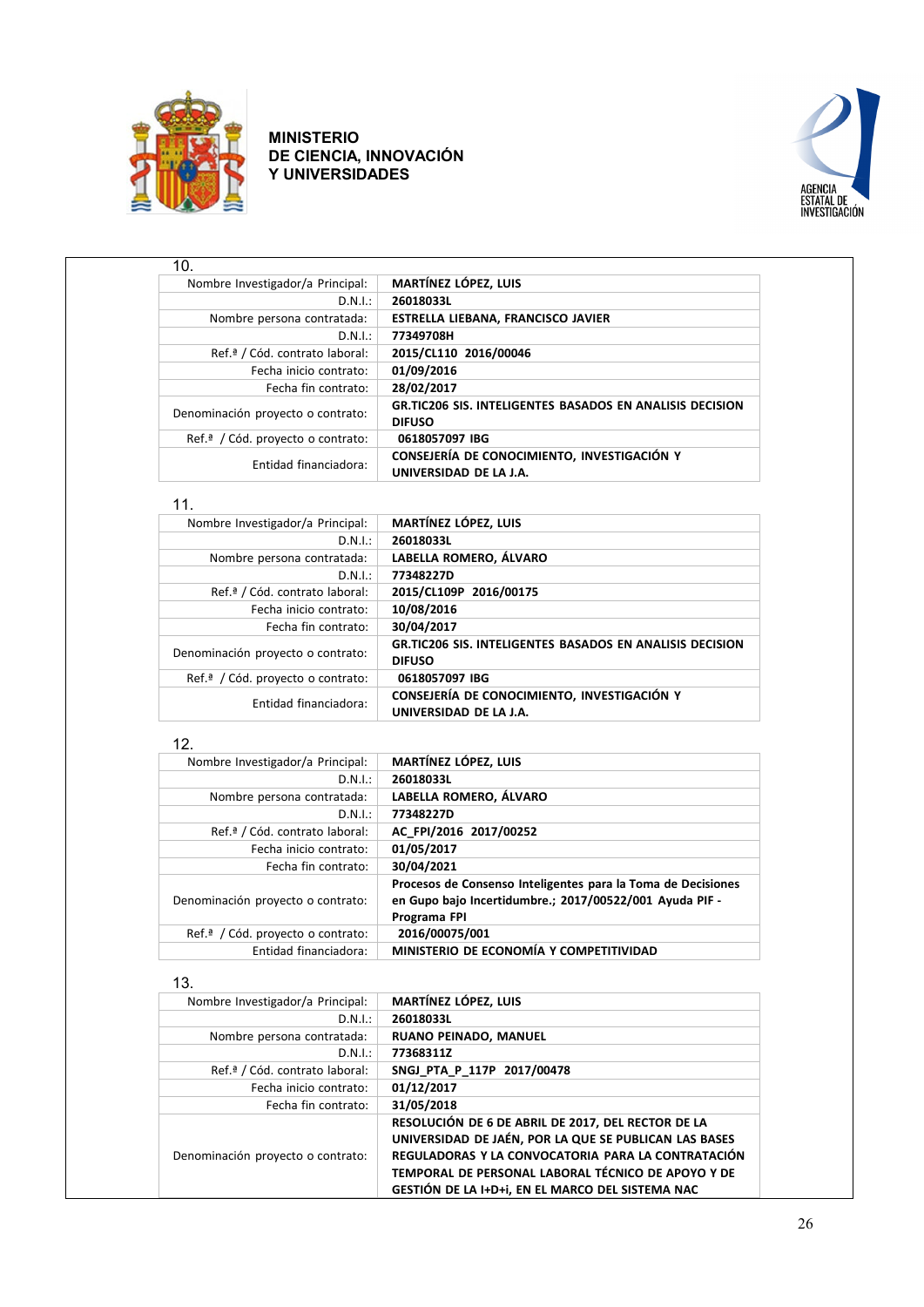



| 10.                                           |                                                                                  |
|-----------------------------------------------|----------------------------------------------------------------------------------|
| Nombre Investigador/a Principal:              | MARTÍNEZ LÓPEZ, LUIS                                                             |
| D.N.I.:                                       | 26018033L                                                                        |
| Nombre persona contratada:                    | ESTRELLA LIEBANA, FRANCISCO JAVIER                                               |
| D.N.I.:                                       | 77349708H                                                                        |
| Ref. <sup>ª</sup> / Cód. contrato laboral:    | 2015/CL110 2016/00046                                                            |
| Fecha inicio contrato:                        | 01/09/2016                                                                       |
| Fecha fin contrato:                           | 28/02/2017                                                                       |
| Denominación proyecto o contrato:             | <b>GR.TIC206 SIS. INTELIGENTES BASADOS EN ANALISIS DECISION</b><br><b>DIFUSO</b> |
| Ref. <sup>a</sup> / Cód. provecto o contrato: | 0618057097 IBG                                                                   |
| Entidad financiadora:                         | CONSEJERÍA DE CONOCIMIENTO, INVESTIGACIÓN Y<br>UNIVERSIDAD DE LA J.A.            |

#### 11.

| Nombre Investigador/a Principal:              | <b>MARTÍNEZ LÓPEZ, LUIS</b>                                                      |
|-----------------------------------------------|----------------------------------------------------------------------------------|
| D.N.I.:                                       | 26018033L                                                                        |
| Nombre persona contratada:                    | LABELLA ROMERO, ÁLVARO                                                           |
| D.N.I.:                                       | 77348227D                                                                        |
| Ref. <sup>ª</sup> / Cód. contrato laboral:    | 2015/CL109P 2016/00175                                                           |
| Fecha inicio contrato:                        | 10/08/2016                                                                       |
| Fecha fin contrato:                           | 30/04/2017                                                                       |
| Denominación proyecto o contrato:             | <b>GR.TIC206 SIS. INTELIGENTES BASADOS EN ANALISIS DECISION</b><br><b>DIFUSO</b> |
| Ref. <sup>a</sup> / Cód. proyecto o contrato: | 0618057097 IBG                                                                   |
| Entidad financiadora:                         | CONSEJERÍA DE CONOCIMIENTO, INVESTIGACIÓN Y<br>UNIVERSIDAD DE LA J.A.            |

#### 12.

| Nombre Investigador/a Principal:              | MARTÍNEZ LÓPEZ, LUIS                                                                                                                    |
|-----------------------------------------------|-----------------------------------------------------------------------------------------------------------------------------------------|
| D.N.I.:                                       | 26018033L                                                                                                                               |
| Nombre persona contratada:                    | LABELLA ROMERO, ÁLVARO                                                                                                                  |
| D.N.I.:                                       | 77348227D                                                                                                                               |
| Ref. <sup>ª</sup> / Cód. contrato laboral:    | AC FPI/2016 2017/00252                                                                                                                  |
| Fecha inicio contrato:                        | 01/05/2017                                                                                                                              |
| Fecha fin contrato:                           | 30/04/2021                                                                                                                              |
| Denominación proyecto o contrato:             | Procesos de Consenso Inteligentes para la Toma de Decisiones<br>en Gupo bajo Incertidumbre.; 2017/00522/001 Ayuda PIF -<br>Programa FPI |
| Ref. <sup>a</sup> / Cód. proyecto o contrato: | 2016/00075/001                                                                                                                          |
| Entidad financiadora:                         | MINISTERIO DE ECONOMÍA Y COMPETITIVIDAD                                                                                                 |

#### 13.

| Nombre Investigador/a Principal:           | <b>MARTÍNEZ LÓPEZ, LUIS</b>                                                                                                                                                                                                                                                 |
|--------------------------------------------|-----------------------------------------------------------------------------------------------------------------------------------------------------------------------------------------------------------------------------------------------------------------------------|
| D.N.I.:                                    | 26018033L                                                                                                                                                                                                                                                                   |
| Nombre persona contratada:                 | RUANO PEINADO, MANUEL                                                                                                                                                                                                                                                       |
| D.N.I.:                                    | 77368311Z                                                                                                                                                                                                                                                                   |
| Ref. <sup>ª</sup> / Cód. contrato laboral: | SNGJ PTA P 117P 2017/00478                                                                                                                                                                                                                                                  |
| Fecha inicio contrato:                     | 01/12/2017                                                                                                                                                                                                                                                                  |
| Fecha fin contrato:                        | 31/05/2018                                                                                                                                                                                                                                                                  |
| Denominación proyecto o contrato:          | RESOLUCIÓN DE 6 DE ABRIL DE 2017, DEL RECTOR DE LA<br>UNIVERSIDAD DE JAÉN, POR LA QUE SE PUBLICAN LAS BASES<br>REGULADORAS Y LA CONVOCATORIA PARA LA CONTRATACIÓN<br>TEMPORAL DE PERSONAL LABORAL TÉCNICO DE APOYO Y DE<br>GESTIÓN DE LA I+D+i, EN EL MARCO DEL SISTEMA NAC |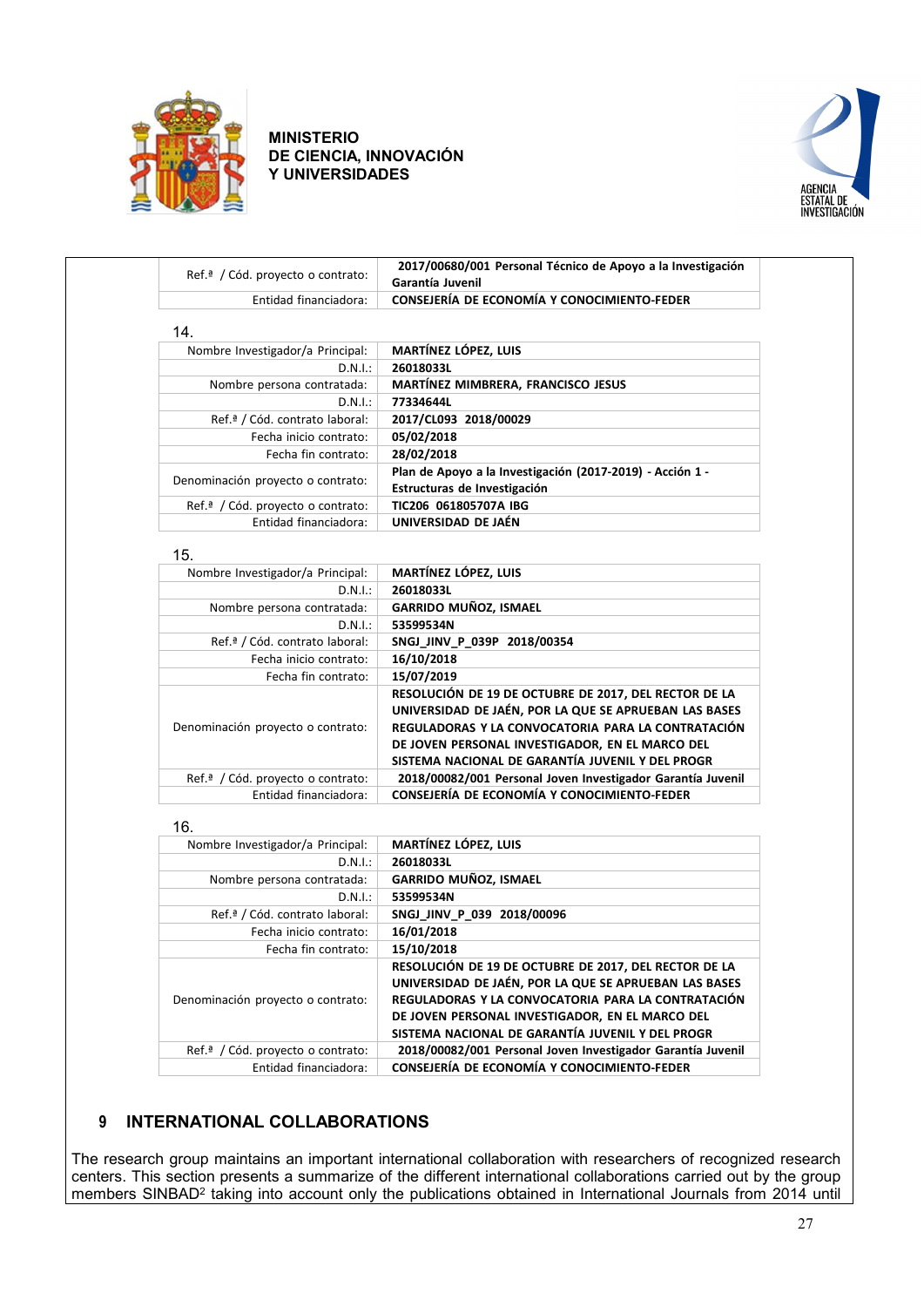



| Ref.ª / Cód. proyecto o contrato: | 2017/00680/001 Personal Técnico de Apoyo a la Investigación<br>Garantía Juvenil                                 |
|-----------------------------------|-----------------------------------------------------------------------------------------------------------------|
| Entidad financiadora:             | CONSEJERÍA DE ECONOMÍA Y CONOCIMIENTO-FEDER                                                                     |
| 14.                               |                                                                                                                 |
| Nombre Investigador/a Principal:  | <b>MARTÍNEZ LÓPEZ, LUIS</b>                                                                                     |
| D.N.I.:                           | 26018033L                                                                                                       |
| Nombre persona contratada:        | MARTÍNEZ MIMBRERA, FRANCISCO JESUS                                                                              |
| D.N.I.:                           | 77334644L                                                                                                       |
| Ref.ª / Cód. contrato laboral:    | 2017/CL093 2018/00029                                                                                           |
| Fecha inicio contrato:            | 05/02/2018                                                                                                      |
| Fecha fin contrato:               | 28/02/2018                                                                                                      |
|                                   | Plan de Apoyo a la Investigación (2017-2019) - Acción 1 -                                                       |
| Denominación proyecto o contrato: | Estructuras de Investigación                                                                                    |
| Ref.ª / Cód. proyecto o contrato: | TIC206 061805707A IBG                                                                                           |
| Entidad financiadora:             | UNIVERSIDAD DE JAÉN                                                                                             |
|                                   |                                                                                                                 |
| 15.                               |                                                                                                                 |
| Nombre Investigador/a Principal:  | MARTÍNEZ LÓPEZ, LUIS                                                                                            |
| D.N.I.:                           | 26018033L                                                                                                       |
| Nombre persona contratada:        | GARRIDO MUÑOZ, ISMAEL                                                                                           |
| D.N.I.:                           | 53599534N                                                                                                       |
| Ref.ª / Cód. contrato laboral:    | SNGJ_JINV_P_039P 2018/00354                                                                                     |
| Fecha inicio contrato:            | 16/10/2018                                                                                                      |
| Fecha fin contrato:               | 15/07/2019                                                                                                      |
|                                   | RESOLUCIÓN DE 19 DE OCTUBRE DE 2017, DEL RECTOR DE LA                                                           |
|                                   | UNIVERSIDAD DE JAÉN, POR LA QUE SE APRUEBAN LAS BASES                                                           |
| Denominación proyecto o contrato: | REGULADORAS Y LA CONVOCATORIA PARA LA CONTRATACIÓN                                                              |
|                                   | DE JOVEN PERSONAL INVESTIGADOR, EN EL MARCO DEL                                                                 |
|                                   | SISTEMA NACIONAL DE GARANTÍA JUVENIL Y DEL PROGR                                                                |
| Ref.ª / Cód. proyecto o contrato: | 2018/00082/001 Personal Joven Investigador Garantía Juvenil                                                     |
| Entidad financiadora:             | CONSEJERÍA DE ECONOMÍA Y CONOCIMIENTO-FEDER                                                                     |
| 16.                               |                                                                                                                 |
| Nombre Investigador/a Principal:  | <b>MARTÍNEZ LÓPEZ, LUIS</b>                                                                                     |
| D.N.I.:                           | 26018033L                                                                                                       |
| Nombre persona contratada:        | GARRIDO MUÑOZ, ISMAEL                                                                                           |
| D.N.I.:                           | 53599534N                                                                                                       |
| Ref.ª / Cód. contrato laboral:    | SNGJ_JINV_P_039 2018/00096                                                                                      |
| Fecha inicio contrato:            | 16/01/2018                                                                                                      |
| Fecha fin contrato:               | 15/10/2018                                                                                                      |
|                                   | RESOLUCIÓN DE 19 DE OCTUBRE DE 2017, DEL RECTOR DE LA                                                           |
|                                   | UNIVERSIDAD DE JAÉN, POR LA QUE SE APRUEBAN LAS BASES                                                           |
|                                   | REGULADORAS Y LA CONVOCATORIA PARA LA CONTRATACIÓN                                                              |
|                                   |                                                                                                                 |
| Denominación proyecto o contrato: |                                                                                                                 |
|                                   | DE JOVEN PERSONAL INVESTIGADOR, EN EL MARCO DEL                                                                 |
| Ref.ª / Cód. proyecto o contrato: | SISTEMA NACIONAL DE GARANTÍA JUVENIL Y DEL PROGR<br>2018/00082/001 Personal Joven Investigador Garantía Juvenil |

## <span id="page-26-0"></span>**9 INTERNATIONAL COLLABORATIONS**

The research group maintains an important international collaboration with researchers of recognized research centers. This section presents a summarize of the different international collaborations carried out by the group members SINBAD2 taking into account only the publications obtained in International Journals from 2014 until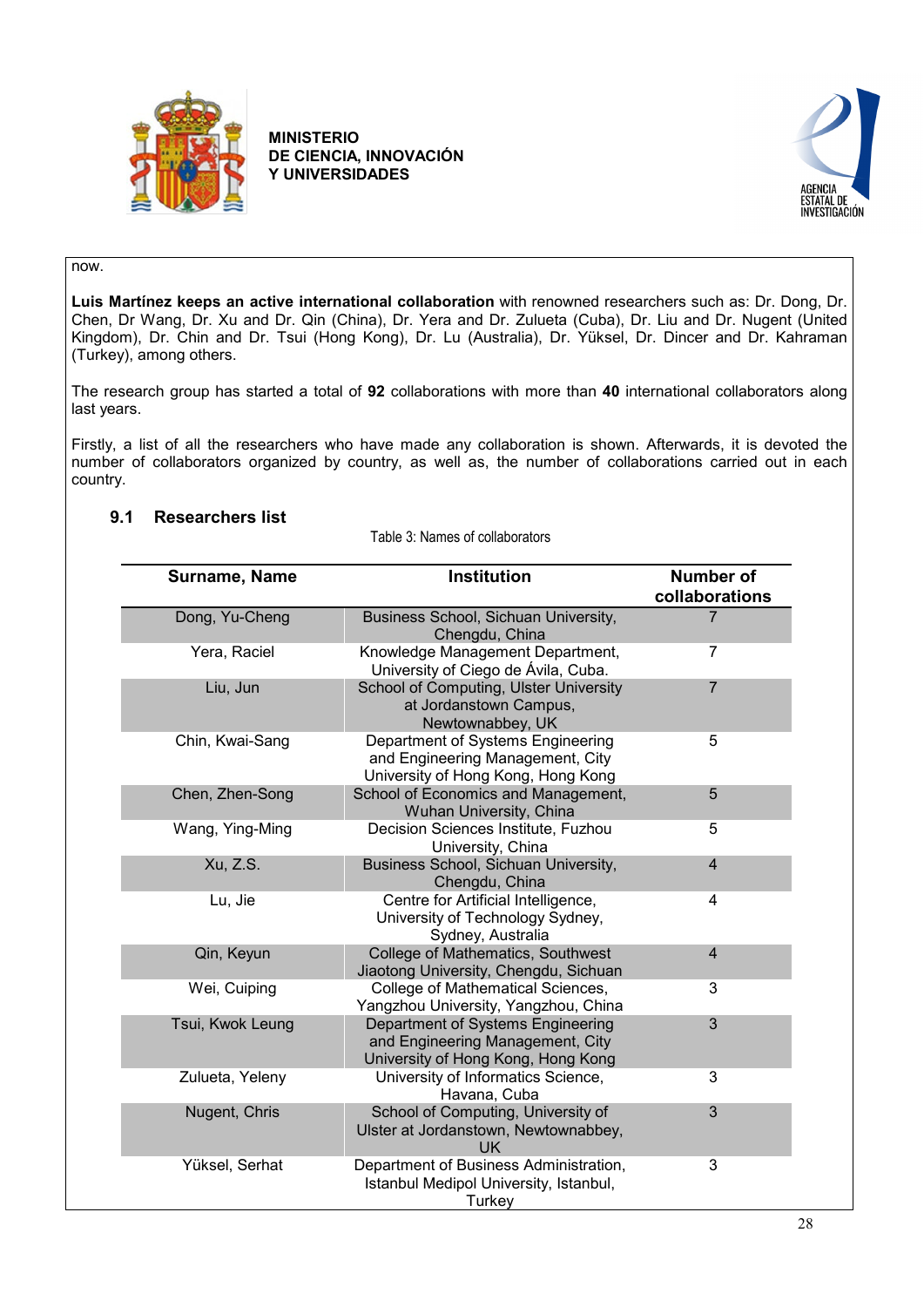



#### now.

**Luis Martínez keeps an active international collaboration** with renowned researchers such as: Dr. Dong, Dr. Chen, Dr Wang, Dr. Xu and Dr. Qin (China), Dr. Yera and Dr. Zulueta (Cuba), Dr. Liu and Dr. Nugent (United Kingdom), Dr. Chin and Dr. Tsui (Hong Kong), Dr. Lu (Australia), Dr. Yüksel, Dr. Dincer and Dr. Kahraman (Turkey), among others.

The research group has started a total of **92** collaborations with more than **40** international collaborators along last years.

Firstly, a list of all the researchers who have made any collaboration is shown. Afterwards, it is devoted the number of collaborators organized by country, as well as, the number of collaborations carried out in each country.

## <span id="page-27-0"></span>**9.1 Researchers list**

Table 3: Names of collaborators

| Surname, Name    | <b>Institution</b>                                                                                          | <b>Number of</b><br>collaborations |
|------------------|-------------------------------------------------------------------------------------------------------------|------------------------------------|
| Dong, Yu-Cheng   | Business School, Sichuan University,<br>Chengdu, China                                                      | 7                                  |
| Yera, Raciel     | Knowledge Management Department,<br>University of Ciego de Ávila, Cuba.                                     | 7                                  |
| Liu, Jun         | School of Computing, Ulster University<br>at Jordanstown Campus,<br>Newtownabbey, UK                        | $\overline{7}$                     |
| Chin, Kwai-Sang  | Department of Systems Engineering<br>and Engineering Management, City<br>University of Hong Kong, Hong Kong | 5                                  |
| Chen, Zhen-Song  | School of Economics and Management,<br>Wuhan University, China                                              | 5                                  |
| Wang, Ying-Ming  | Decision Sciences Institute, Fuzhou<br>University, China                                                    | 5                                  |
| Xu, Z.S.         | Business School, Sichuan University,<br>Chengdu, China                                                      | $\overline{4}$                     |
| Lu, Jie          | Centre for Artificial Intelligence,<br>University of Technology Sydney,<br>Sydney, Australia                | 4                                  |
| Qin, Keyun       | College of Mathematics, Southwest<br>Jiaotong University, Chengdu, Sichuan                                  | $\overline{4}$                     |
| Wei, Cuiping     | College of Mathematical Sciences,<br>Yangzhou University, Yangzhou, China                                   | 3                                  |
| Tsui, Kwok Leung | Department of Systems Engineering<br>and Engineering Management, City<br>University of Hong Kong, Hong Kong | 3                                  |
| Zulueta, Yeleny  | University of Informatics Science,<br>Havana, Cuba                                                          | 3                                  |
| Nugent, Chris    | School of Computing, University of<br>Ulster at Jordanstown, Newtownabbey,<br><b>UK</b>                     | 3                                  |
| Yüksel, Serhat   | Department of Business Administration,<br>Istanbul Medipol University, Istanbul,<br>Turkey                  | 3                                  |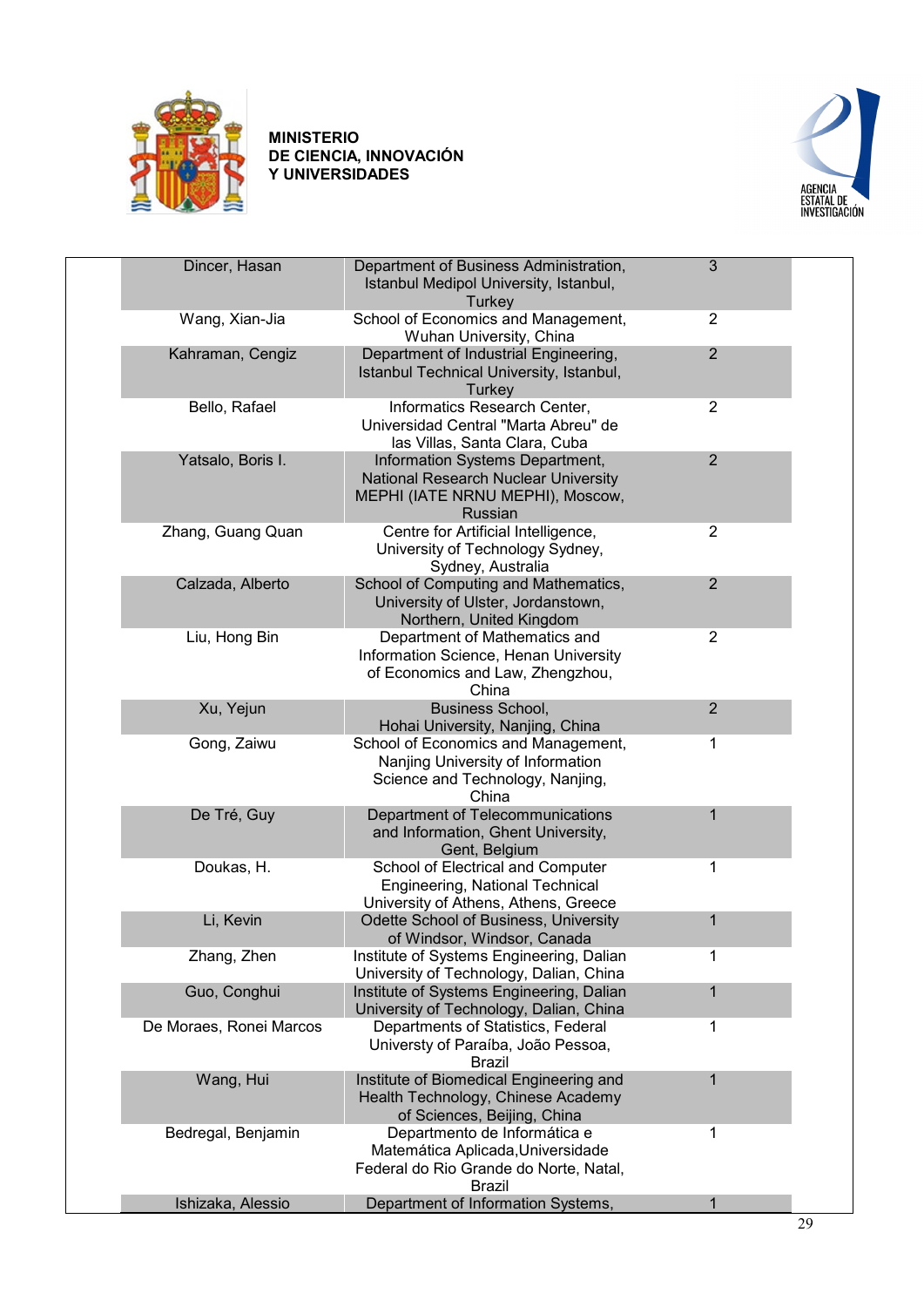



| Dincer, Hasan           | Department of Business Administration,<br>Istanbul Medipol University, Istanbul,<br>Turkey                                    | 3              |  |
|-------------------------|-------------------------------------------------------------------------------------------------------------------------------|----------------|--|
| Wang, Xian-Jia          | School of Economics and Management,<br>Wuhan University, China                                                                | $\overline{2}$ |  |
| Kahraman, Cengiz        | Department of Industrial Engineering,<br>Istanbul Technical University, Istanbul,<br>Turkey                                   | $\overline{2}$ |  |
| Bello, Rafael           | Informatics Research Center,<br>Universidad Central "Marta Abreu" de<br>las Villas, Santa Clara, Cuba                         | $\overline{2}$ |  |
| Yatsalo, Boris I.       | Information Systems Department,<br>National Research Nuclear University<br>MEPHI (IATE NRNU MEPHI), Moscow,<br><b>Russian</b> | 2              |  |
| Zhang, Guang Quan       | Centre for Artificial Intelligence,<br>University of Technology Sydney,<br>Sydney, Australia                                  | $\overline{2}$ |  |
| Calzada, Alberto        | School of Computing and Mathematics,<br>University of Ulster, Jordanstown,<br>Northern, United Kingdom                        | $\overline{2}$ |  |
| Liu, Hong Bin           | Department of Mathematics and<br>Information Science, Henan University<br>of Economics and Law, Zhengzhou,<br>China           | $\overline{2}$ |  |
| Xu, Yejun               | <b>Business School,</b><br>Hohai University, Nanjing, China                                                                   | $\overline{2}$ |  |
| Gong, Zaiwu             | School of Economics and Management,<br>Nanjing University of Information<br>Science and Technology, Nanjing,<br>China         | 1              |  |
| De Tré, Guy             | Department of Telecommunications<br>and Information, Ghent University,<br>Gent, Belgium                                       | 1              |  |
| Doukas, H.              | School of Electrical and Computer<br>Engineering, National Technical<br>University of Athens, Athens, Greece                  | 1              |  |
| Li, Kevin               | Odette School of Business, University<br>of Windsor, Windsor, Canada                                                          | 1              |  |
| Zhang, Zhen             | Institute of Systems Engineering, Dalian<br>University of Technology, Dalian, China                                           | 1              |  |
| Guo, Conghui            | Institute of Systems Engineering, Dalian<br>University of Technology, Dalian, China                                           | 1              |  |
| De Moraes, Ronei Marcos | Departments of Statistics, Federal<br>Universty of Paraíba, João Pessoa,<br><b>Brazil</b>                                     | 1              |  |
| Wang, Hui               | Institute of Biomedical Engineering and<br>Health Technology, Chinese Academy<br>of Sciences, Beijing, China                  | 1              |  |
| Bedregal, Benjamin      | Departmento de Informática e<br>Matemática Aplicada, Universidade<br>Federal do Rio Grande do Norte, Natal,<br><b>Brazil</b>  | 1              |  |
| Ishizaka, Alessio       | Department of Information Systems,                                                                                            | 1              |  |